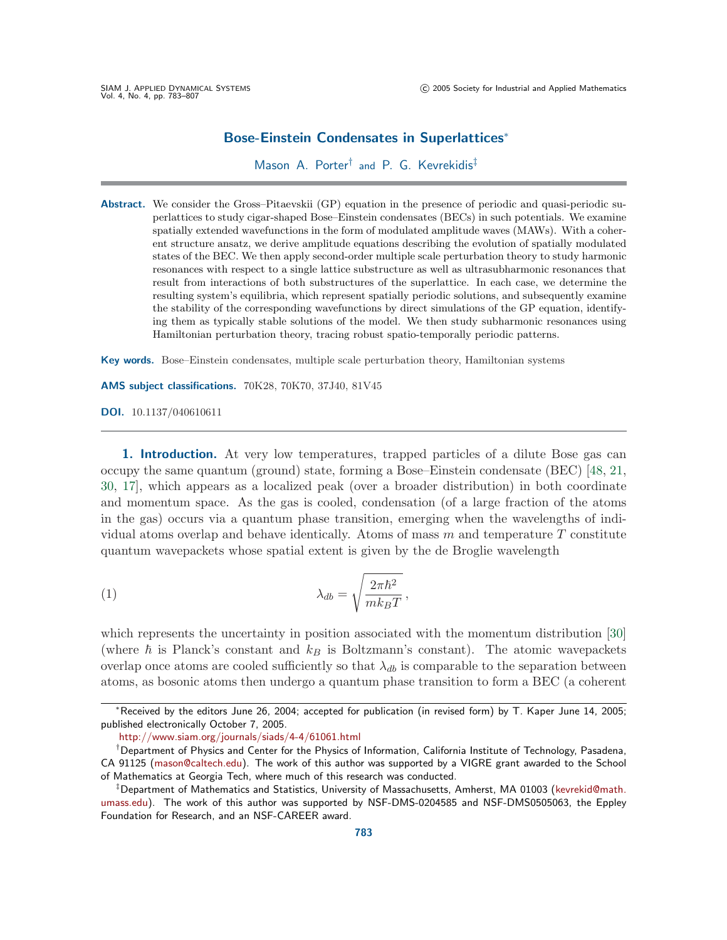# **Bose-Einstein Condensates in Superlattices**<sup>∗</sup>

Mason A. Porter† and P. G. Kevrekidis‡

**Abstract.** We consider the Gross–Pitaevskii (GP) equation in the presence of periodic and quasi-periodic superlattices to study cigar-shaped Bose–Einstein condensates (BECs) in such potentials. We examine spatially extended wavefunctions in the form of modulated amplitude waves (MAWs). With a coherent structure ansatz, we derive amplitude equations describing the evolution of spatially modulated states of the BEC. We then apply second-order multiple scale perturbation theory to study harmonic resonances with respect to a single lattice substructure as well as ultrasubharmonic resonances that result from interactions of both substructures of the superlattice. In each case, we determine the resulting system's equilibria, which represent spatially periodic solutions, and subsequently examine the stability of the corresponding wavefunctions by direct simulations of the GP equation, identifying them as typically stable solutions of the model. We then study subharmonic resonances using Hamiltonian perturbation theory, tracing robust spatio-temporally periodic patterns.

**Key words.** Bose–Einstein condensates, multiple scale perturbation theory, Hamiltonian systems

**AMS subject classifications.** 70K28, 70K70, 37J40, 81V45

**DOI.** 10.1137/040610611

**1. Introduction.** At very low temperatures, trapped particles of a dilute Bose gas can occupy the same quantum (ground) state, forming a Bose–Einstein condensate (BEC) [\[48,](#page-23-0) [21,](#page-22-0) [30,](#page-23-0) [17\]](#page-22-0), which appears as a localized peak (over a broader distribution) in both coordinate and momentum space. As the gas is cooled, condensation (of a large fraction of the atoms in the gas) occurs via a quantum phase transition, emerging when the wavelengths of individual atoms overlap and behave identically. Atoms of mass  $m$  and temperature  $T$  constitute quantum wavepackets whose spatial extent is given by the de Broglie wavelength

$$
\lambda_{db} = \sqrt{\frac{2\pi\hbar^2}{mk_BT}},
$$

which represents the uncertainty in position associated with the momentum distribution [\[30\]](#page-23-0) (where  $\hbar$  is Planck's constant and  $k_B$  is Boltzmann's constant). The atomic wavepackets overlap once atoms are cooled sufficiently so that  $\lambda_{db}$  is comparable to the separation between atoms, as bosonic atoms then undergo a quantum phase transition to form a BEC (a coherent

<sup>∗</sup>Received by the editors June 26, 2004; accepted for publication (in revised form) by T. Kaper June 14, 2005; published electronically October 7, 2005.

<http://www.siam.org/journals/siads/4-4/61061.html>

<sup>†</sup>Department of Physics and Center for the Physics of Information, California Institute of Technology, Pasadena, CA 91125 [\(mason@caltech.edu\)](mailto:mason@caltech.edu). The work of this author was supported by a VIGRE grant awarded to the School of Mathematics at Georgia Tech, where much of this research was conducted.

<sup>‡</sup>Department of Mathematics and Statistics, University of Massachusetts, Amherst, MA 01003 [\(kevrekid@math.](mailto:kevrekid@math.) [umass.edu\)](mailto:umass.edu). The work of this author was supported by NSF-DMS-0204585 and NSF-DMS0505063, the Eppley Foundation for Research, and an NSF-CAREER award.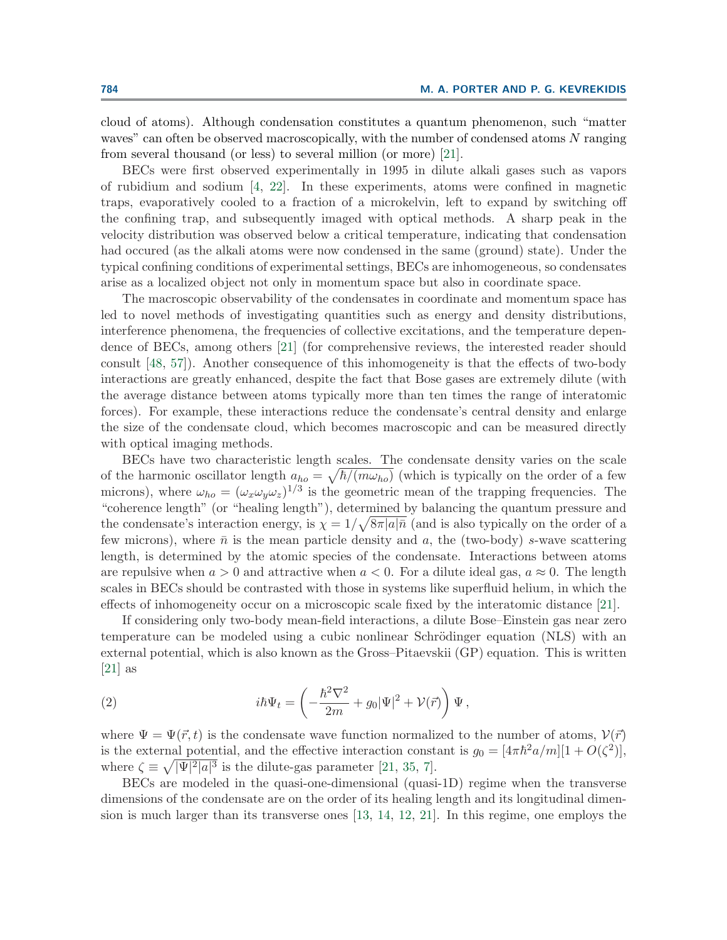cloud of atoms). Although condensation constitutes a quantum phenomenon, such "matter waves" can often be observed macroscopically, with the number of condensed atoms  $N$  ranging from several thousand (or less) to several million (or more) [\[21\]](#page-22-0).

BECs were first observed experimentally in 1995 in dilute alkali gases such as vapors of rubidium and sodium  $[4, 22]$  $[4, 22]$  $[4, 22]$ . In these experiments, atoms were confined in magnetic traps, evaporatively cooled to a fraction of a microkelvin, left to expand by switching off the confining trap, and subsequently imaged with optical methods. A sharp peak in the velocity distribution was observed below a critical temperature, indicating that condensation had occured (as the alkali atoms were now condensed in the same (ground) state). Under the typical confining conditions of experimental settings, BECs are inhomogeneous, so condensates arise as a localized object not only in momentum space but also in coordinate space.

The macroscopic observability of the condensates in coordinate and momentum space has led to novel methods of investigating quantities such as energy and density distributions, interference phenomena, the frequencies of collective excitations, and the temperature dependence of BECs, among others [\[21\]](#page-22-0) (for comprehensive reviews, the interested reader should consult [\[48,](#page-23-0) [57\]](#page-24-0)). Another consequence of this inhomogeneity is that the effects of two-body interactions are greatly enhanced, despite the fact that Bose gases are extremely dilute (with the average distance between atoms typically more than ten times the range of interatomic forces). For example, these interactions reduce the condensate's central density and enlarge the size of the condensate cloud, which becomes macroscopic and can be measured directly with optical imaging methods.

BECs have two characteristic length scales. The condensate density varies on the scale of the harmonic oscillator length  $a_{ho} = \sqrt{\hbar/(m\omega_{ho})}$  (which is typically on the order of a few microns), where  $\omega_{ho} = (\omega_x \omega_y \omega_z)^{1/3}$  is the geometric mean of the trapping frequencies. The "coherence length" (or "healing length"), determined by balancing the quantum pressure and the condensate's interaction energy, is  $\chi = 1/\sqrt{8\pi |a|\bar{n}}$  (and is also typically on the order of a few microns), where  $\bar{n}$  is the mean particle density and  $a$ , the (two-body) s-wave scattering length, is determined by the atomic species of the condensate. Interactions between atoms are repulsive when  $a > 0$  and attractive when  $a < 0$ . For a dilute ideal gas,  $a \approx 0$ . The length scales in BECs should be contrasted with those in systems like superfluid helium, in which the effects of inhomogeneity occur on a microscopic scale fixed by the interatomic distance [\[21\]](#page-22-0).

If considering only two-body mean-field interactions, a dilute Bose–Einstein gas near zero temperature can be modeled using a cubic nonlinear Schrödinger equation (NLS) with an external potential, which is also known as the Gross–Pitaevskii (GP) equation. This is written  $[21]$  as

(2) 
$$
i\hbar\Psi_t = \left(-\frac{\hbar^2\nabla^2}{2m} + g_0|\Psi|^2 + \mathcal{V}(\vec{r})\right)\Psi,
$$

where  $\Psi = \Psi(\vec{r}, t)$  is the condensate wave function normalized to the number of atoms,  $V(\vec{r})$ is the external potential, and the effective interaction constant is  $g_0 = [4\pi\hbar^2 a/m][1 + O(\zeta^2)],$ where  $\zeta \equiv \sqrt{|\Psi|^2 |a|^3}$  is the dilute-gas parameter [\[21,](#page-22-0) [35,](#page-23-0) [7\]](#page-22-0).

BECs are modeled in the quasi-one-dimensional (quasi-1D) regime when the transverse dimensions of the condensate are on the order of its healing length and its longitudinal dimension is much larger than its transverse ones [\[13,](#page-22-0) [14,](#page-22-0) [12,](#page-22-0) [21\]](#page-22-0). In this regime, one employs the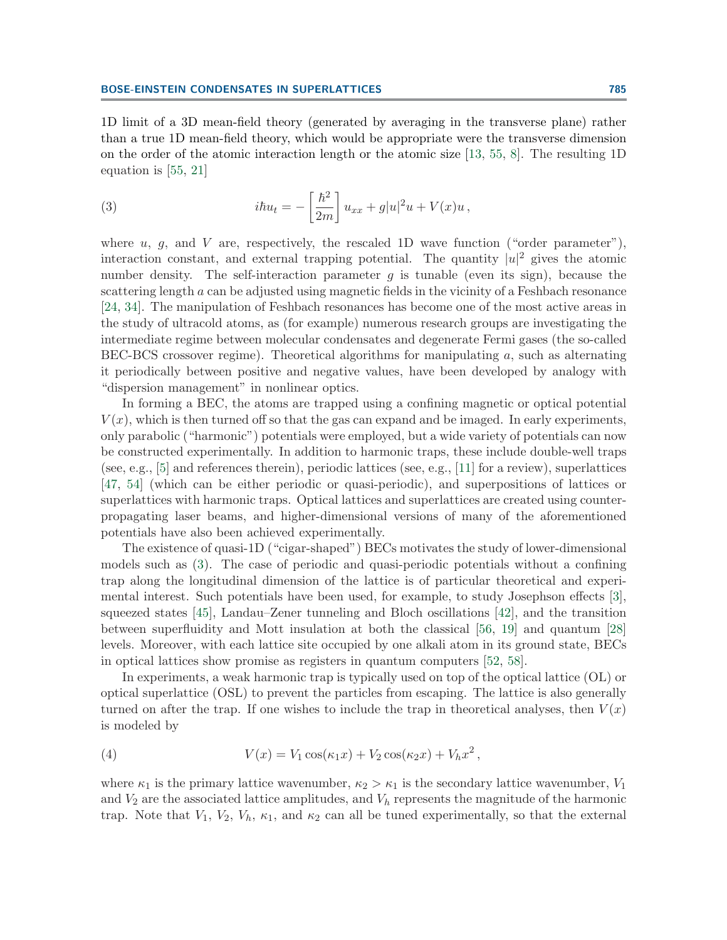<span id="page-2-0"></span>1D limit of a 3D mean-field theory (generated by averaging in the transverse plane) rather than a true 1D mean-field theory, which would be appropriate were the transverse dimension on the order of the atomic interaction length or the atomic size [\[13,](#page-22-0) [55,](#page-24-0) [8\]](#page-22-0). The resulting 1D equation is [\[55,](#page-24-0) [21\]](#page-22-0)

(3) 
$$
i\hbar u_t = -\left[\frac{\hbar^2}{2m}\right]u_{xx} + g|u|^2u + V(x)u,
$$

where  $u, g$ , and  $V$  are, respectively, the rescaled 1D wave function ("order parameter"), interaction constant, and external trapping potential. The quantity  $|u|^2$  gives the atomic number density. The self-interaction parameter  $q$  is tunable (even its sign), because the scattering length a can be adjusted using magnetic fields in the vicinity of a Feshbach resonance [\[24,](#page-22-0) [34\]](#page-23-0). The manipulation of Feshbach resonances has become one of the most active areas in the study of ultracold atoms, as (for example) numerous research groups are investigating the intermediate regime between molecular condensates and degenerate Fermi gases (the so-called BEC-BCS crossover regime). Theoretical algorithms for manipulating  $a$ , such as alternating it periodically between positive and negative values, have been developed by analogy with "dispersion management" in nonlinear optics.

In forming a BEC, the atoms are trapped using a confining magnetic or optical potential  $V(x)$ , which is then turned off so that the gas can expand and be imaged. In early experiments, only parabolic ("harmonic") potentials were employed, but a wide variety of potentials can now be constructed experimentally. In addition to harmonic traps, these include double-well traps (see, e.g., [\[5\]](#page-22-0) and references therein), periodic lattices (see, e.g., [\[11\]](#page-22-0) for a review), superlattices [\[47,](#page-23-0) [54\]](#page-24-0) (which can be either periodic or quasi-periodic), and superpositions of lattices or superlattices with harmonic traps. Optical lattices and superlattices are created using counterpropagating laser beams, and higher-dimensional versions of many of the aforementioned potentials have also been achieved experimentally.

The existence of quasi-1D ("cigar-shaped") BECs motivates the study of lower-dimensional models such as (3). The case of periodic and quasi-periodic potentials without a confining trap along the longitudinal dimension of the lattice is of particular theoretical and experimental interest. Such potentials have been used, for example, to study Josephson effects [\[3\]](#page-22-0), squeezed states [\[45\]](#page-23-0), Landau–Zener tunneling and Bloch oscillations [\[42\]](#page-23-0), and the transition between superfluidity and Mott insulation at both the classical [\[56,](#page-24-0) [19\]](#page-22-0) and quantum [\[28\]](#page-23-0) levels. Moreover, with each lattice site occupied by one alkali atom in its ground state, BECs in optical lattices show promise as registers in quantum computers [\[52,](#page-23-0) [58\]](#page-24-0).

In experiments, a weak harmonic trap is typically used on top of the optical lattice (OL) or optical superlattice (OSL) to prevent the particles from escaping. The lattice is also generally turned on after the trap. If one wishes to include the trap in theoretical analyses, then  $V(x)$ is modeled by

(4) 
$$
V(x) = V_1 \cos(\kappa_1 x) + V_2 \cos(\kappa_2 x) + V_h x^2,
$$

where  $\kappa_1$  is the primary lattice wavenumber,  $\kappa_2 > \kappa_1$  is the secondary lattice wavenumber,  $V_1$ and  $V_2$  are the associated lattice amplitudes, and  $V_h$  represents the magnitude of the harmonic trap. Note that  $V_1$ ,  $V_2$ ,  $V_h$ ,  $\kappa_1$ , and  $\kappa_2$  can all be tuned experimentally, so that the external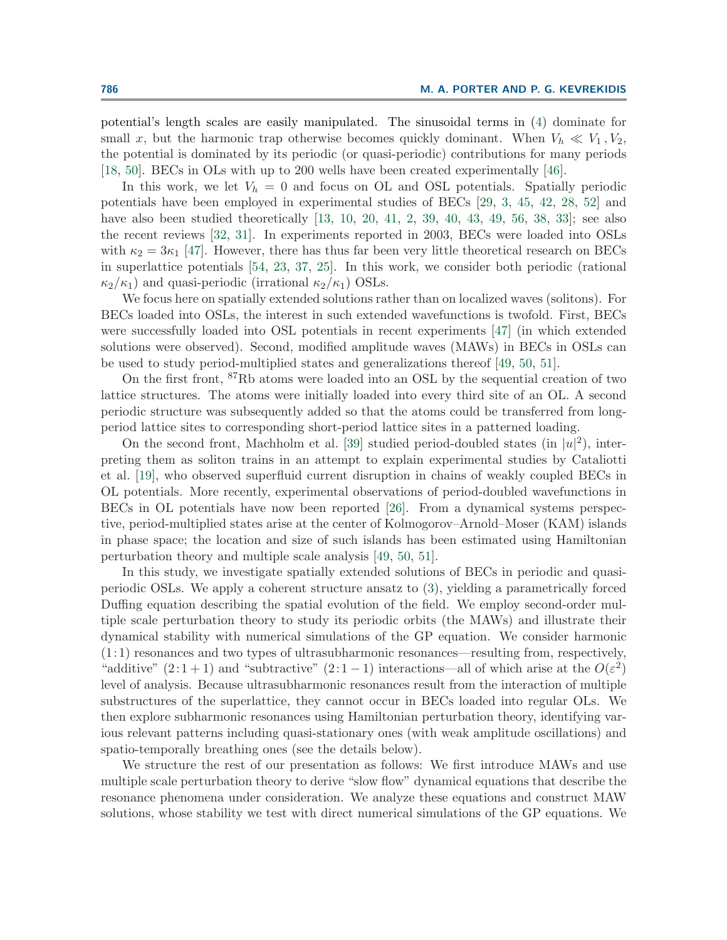potential's length scales are easily manipulated. The sinusoidal terms in [\(4\)](#page-2-0) dominate for small x, but the harmonic trap otherwise becomes quickly dominant. When  $V_h \ll V_1, V_2$ , the potential is dominated by its periodic (or quasi-periodic) contributions for many periods [\[18,](#page-22-0) [50\]](#page-23-0). BECs in OLs with up to 200 wells have been created experimentally [\[46\]](#page-23-0).

In this work, we let  $V_h = 0$  and focus on OL and OSL potentials. Spatially periodic potentials have been employed in experimental studies of BECs [\[29,](#page-23-0) [3,](#page-22-0) [45,](#page-23-0) [42,](#page-23-0) [28,](#page-23-0) [52\]](#page-23-0) and have also been studied theoretically [\[13,](#page-22-0) [10,](#page-22-0) [20,](#page-22-0) [41,](#page-23-0) [2,](#page-21-0) [39,](#page-23-0) [40,](#page-23-0) [43,](#page-23-0) [49,](#page-23-0) [56,](#page-24-0) [38,](#page-23-0) [33\]](#page-23-0); see also the recent reviews [\[32,](#page-23-0) [31\]](#page-23-0). In experiments reported in 2003, BECs were loaded into OSLs with  $\kappa_2 = 3\kappa_1$  [\[47\]](#page-23-0). However, there has thus far been very little theoretical research on BECs in superlattice potentials [\[54,](#page-24-0) [23,](#page-22-0) [37,](#page-23-0) [25\]](#page-22-0). In this work, we consider both periodic (rational  $\kappa_2/\kappa_1$ ) and quasi-periodic (irrational  $\kappa_2/\kappa_1$ ) OSLs.

We focus here on spatially extended solutions rather than on localized waves (solitons). For BECs loaded into OSLs, the interest in such extended wavefunctions is twofold. First, BECs were successfully loaded into OSL potentials in recent experiments [\[47\]](#page-23-0) (in which extended solutions were observed). Second, modified amplitude waves (MAWs) in BECs in OSLs can be used to study period-multiplied states and generalizations thereof [\[49,](#page-23-0) [50,](#page-23-0) [51\]](#page-23-0).

On the first front, <sup>87</sup>Rb atoms were loaded into an OSL by the sequential creation of two lattice structures. The atoms were initially loaded into every third site of an OL. A second periodic structure was subsequently added so that the atoms could be transferred from longperiod lattice sites to corresponding short-period lattice sites in a patterned loading.

On the second front, Machholm et al. [\[39\]](#page-23-0) studied period-doubled states (in  $|u|^2$ ), interpreting them as soliton trains in an attempt to explain experimental studies by Cataliotti et al. [\[19\]](#page-22-0), who observed superfluid current disruption in chains of weakly coupled BECs in OL potentials. More recently, experimental observations of period-doubled wavefunctions in BECs in OL potentials have now been reported [\[26\]](#page-22-0). From a dynamical systems perspective, period-multiplied states arise at the center of Kolmogorov–Arnold–Moser (KAM) islands in phase space; the location and size of such islands has been estimated using Hamiltonian perturbation theory and multiple scale analysis [\[49,](#page-23-0) [50,](#page-23-0) [51\]](#page-23-0).

In this study, we investigate spatially extended solutions of BECs in periodic and quasiperiodic OSLs. We apply a coherent structure ansatz to [\(3\)](#page-2-0), yielding a parametrically forced Duffing equation describing the spatial evolution of the field. We employ second-order multiple scale perturbation theory to study its periodic orbits (the MAWs) and illustrate their dynamical stability with numerical simulations of the GP equation. We consider harmonic  $(1:1)$  resonances and two types of ultrasubharmonic resonances—resulting from, respectively, "additive"  $(2:1+1)$  and "subtractive"  $(2:1-1)$  interactions—all of which arise at the  $O(\varepsilon^2)$ level of analysis. Because ultrasubharmonic resonances result from the interaction of multiple substructures of the superlattice, they cannot occur in BECs loaded into regular OLs. We then explore subharmonic resonances using Hamiltonian perturbation theory, identifying various relevant patterns including quasi-stationary ones (with weak amplitude oscillations) and spatio-temporally breathing ones (see the details below).

We structure the rest of our presentation as follows: We first introduce MAWs and use multiple scale perturbation theory to derive "slow flow" dynamical equations that describe the resonance phenomena under consideration. We analyze these equations and construct MAW solutions, whose stability we test with direct numerical simulations of the GP equations. We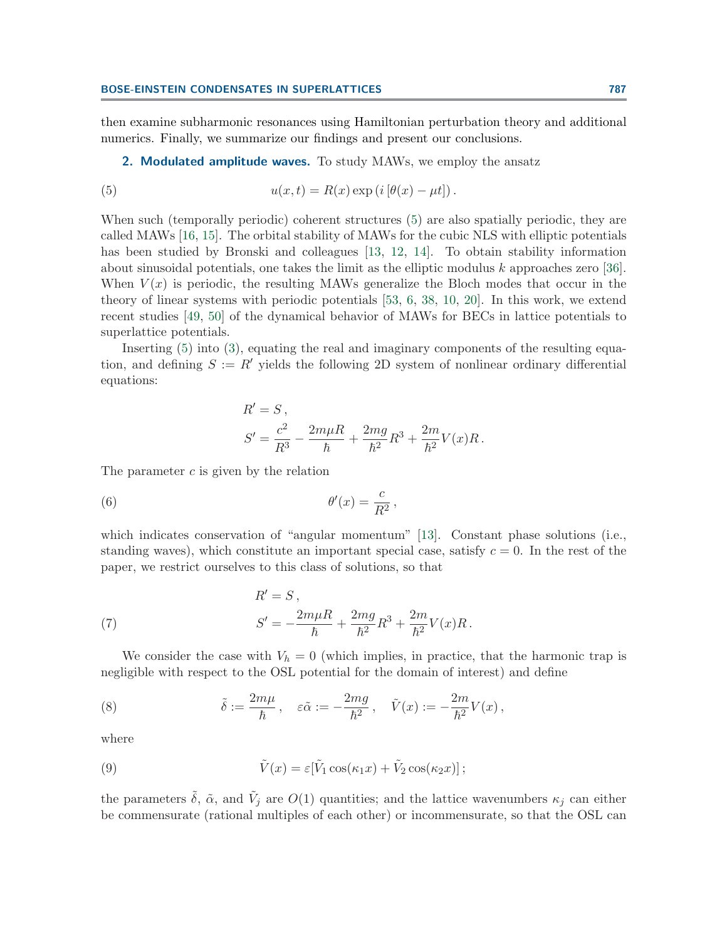<span id="page-4-0"></span>then examine subharmonic resonances using Hamiltonian perturbation theory and additional numerics. Finally, we summarize our findings and present our conclusions.

**2. Modulated amplitude waves.** To study MAWs, we employ the ansatz

(5) 
$$
u(x,t) = R(x) \exp(i[\theta(x) - \mu t]).
$$

When such (temporally periodic) coherent structures (5) are also spatially periodic, they are called MAWs [\[16,](#page-22-0) [15\]](#page-22-0). The orbital stability of MAWs for the cubic NLS with elliptic potentials has been studied by Bronski and colleagues [\[13,](#page-22-0) [12,](#page-22-0) [14\]](#page-22-0). To obtain stability information about sinusoidal potentials, one takes the limit as the elliptic modulus k approaches zero [\[36\]](#page-23-0). When  $V(x)$  is periodic, the resulting MAWs generalize the Bloch modes that occur in the theory of linear systems with periodic potentials [\[53,](#page-24-0) [6,](#page-22-0) [38,](#page-23-0) [10,](#page-22-0) [20\]](#page-22-0). In this work, we extend recent studies [\[49,](#page-23-0) [50\]](#page-23-0) of the dynamical behavior of MAWs for BECs in lattice potentials to superlattice potentials.

Inserting  $(5)$  into  $(3)$ , equating the real and imaginary components of the resulting equation, and defining  $S := R'$  yields the following 2D system of nonlinear ordinary differential equations:

$$
R' = S,
$$
  
\n
$$
S' = \frac{c^2}{R^3} - \frac{2m\mu R}{\hbar} + \frac{2mg}{\hbar^2}R^3 + \frac{2m}{\hbar^2}V(x)R.
$$

The parameter  $c$  is given by the relation

(6) 
$$
\theta'(x) = \frac{c}{R^2},
$$

which indicates conservation of "angular momentum" [\[13\]](#page-22-0). Constant phase solutions (i.e., standing waves), which constitute an important special case, satisfy  $c = 0$ . In the rest of the paper, we restrict ourselves to this class of solutions, so that

(7) 
$$
R' = S, \nS' = -\frac{2m\mu R}{\hbar} + \frac{2mg}{\hbar^2}R^3 + \frac{2m}{\hbar^2}V(x)R.
$$

We consider the case with  $V_h = 0$  (which implies, in practice, that the harmonic trap is negligible with respect to the OSL potential for the domain of interest) and define

(8) 
$$
\tilde{\delta} := \frac{2m\mu}{\hbar}, \quad \varepsilon \tilde{\alpha} := -\frac{2mg}{\hbar^2}, \quad \tilde{V}(x) := -\frac{2m}{\hbar^2} V(x),
$$

where

(9) 
$$
\tilde{V}(x) = \varepsilon[\tilde{V}_1 \cos(\kappa_1 x) + \tilde{V}_2 \cos(\kappa_2 x)];
$$

the parameters  $\delta$ ,  $\tilde{\alpha}$ , and  $\tilde{V}_j$  are  $O(1)$  quantities; and the lattice wavenumbers  $\kappa_j$  can either be commensurate (rational multiples of each other) or incommensurate, so that the OSL can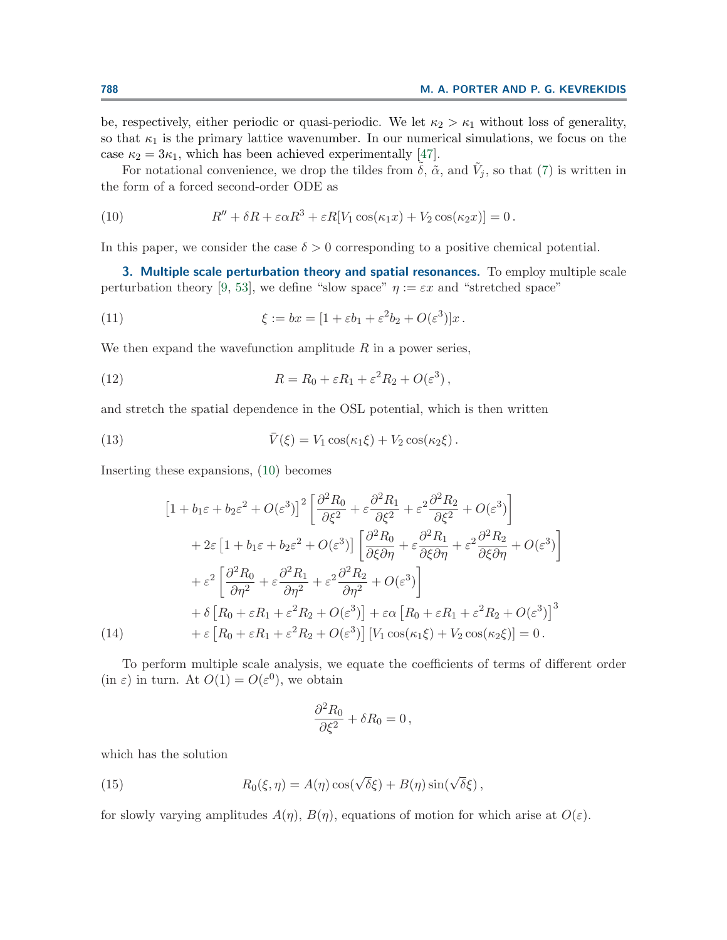<span id="page-5-0"></span>be, respectively, either periodic or quasi-periodic. We let  $\kappa_2 > \kappa_1$  without loss of generality, so that  $\kappa_1$  is the primary lattice wavenumber. In our numerical simulations, we focus on the case  $\kappa_2 = 3\kappa_1$ , which has been achieved experimentally [\[47\]](#page-23-0).

For notational convenience, we drop the tildes from  $\tilde{\delta}$ ,  $\tilde{\alpha}$ , and  $\tilde{V}_j$ , so that [\(7\)](#page-4-0) is written in the form of a forced second-order ODE as

(10) 
$$
R'' + \delta R + \varepsilon \alpha R^3 + \varepsilon R[V_1 \cos(\kappa_1 x) + V_2 \cos(\kappa_2 x)] = 0.
$$

In this paper, we consider the case  $\delta > 0$  corresponding to a positive chemical potential.

**3. Multiple scale perturbation theory and spatial resonances.** To employ multiple scale perturbation theory [\[9,](#page-22-0) [53\]](#page-24-0), we define "slow space"  $\eta := \varepsilon x$  and "stretched space"

(11) 
$$
\xi := bx = [1 + \varepsilon b_1 + \varepsilon^2 b_2 + O(\varepsilon^3)]x.
$$

We then expand the wavefunction amplitude  $R$  in a power series,

(12) 
$$
R = R_0 + \varepsilon R_1 + \varepsilon^2 R_2 + O(\varepsilon^3),
$$

and stretch the spatial dependence in the OSL potential, which is then written

(13) 
$$
\overline{V}(\xi) = V_1 \cos(\kappa_1 \xi) + V_2 \cos(\kappa_2 \xi).
$$

Inserting these expansions, (10) becomes

$$
[1 + b_1\varepsilon + b_2\varepsilon^2 + O(\varepsilon^3)]^2 \left[ \frac{\partial^2 R_0}{\partial \xi^2} + \varepsilon \frac{\partial^2 R_1}{\partial \xi^2} + \varepsilon^2 \frac{\partial^2 R_2}{\partial \xi^2} + O(\varepsilon^3) \right] + 2\varepsilon \left[ 1 + b_1\varepsilon + b_2\varepsilon^2 + O(\varepsilon^3) \right] \left[ \frac{\partial^2 R_0}{\partial \xi \partial \eta} + \varepsilon \frac{\partial^2 R_1}{\partial \xi \partial \eta} + \varepsilon^2 \frac{\partial^2 R_2}{\partial \xi \partial \eta} + O(\varepsilon^3) \right] + \varepsilon^2 \left[ \frac{\partial^2 R_0}{\partial \eta^2} + \varepsilon \frac{\partial^2 R_1}{\partial \eta^2} + \varepsilon^2 \frac{\partial^2 R_2}{\partial \eta^2} + O(\varepsilon^3) \right] + \delta \left[ R_0 + \varepsilon R_1 + \varepsilon^2 R_2 + O(\varepsilon^3) \right] + \varepsilon \alpha \left[ R_0 + \varepsilon R_1 + \varepsilon^2 R_2 + O(\varepsilon^3) \right]^3 + \varepsilon \left[ R_0 + \varepsilon R_1 + \varepsilon^2 R_2 + O(\varepsilon^3) \right] \left[ V_1 \cos(\kappa_1 \xi) + V_2 \cos(\kappa_2 \xi) \right] = 0.
$$

To perform multiple scale analysis, we equate the coefficients of terms of different order (in  $\varepsilon$ ) in turn. At  $O(1) = O(\varepsilon^0)$ , we obtain

$$
\frac{\partial^2 R_0}{\partial \xi^2} + \delta R_0 = 0 \,,
$$

which has the solution

(15) 
$$
R_0(\xi, \eta) = A(\eta) \cos(\sqrt{\delta}\xi) + B(\eta) \sin(\sqrt{\delta}\xi),
$$

for slowly varying amplitudes  $A(\eta)$ ,  $B(\eta)$ , equations of motion for which arise at  $O(\varepsilon)$ .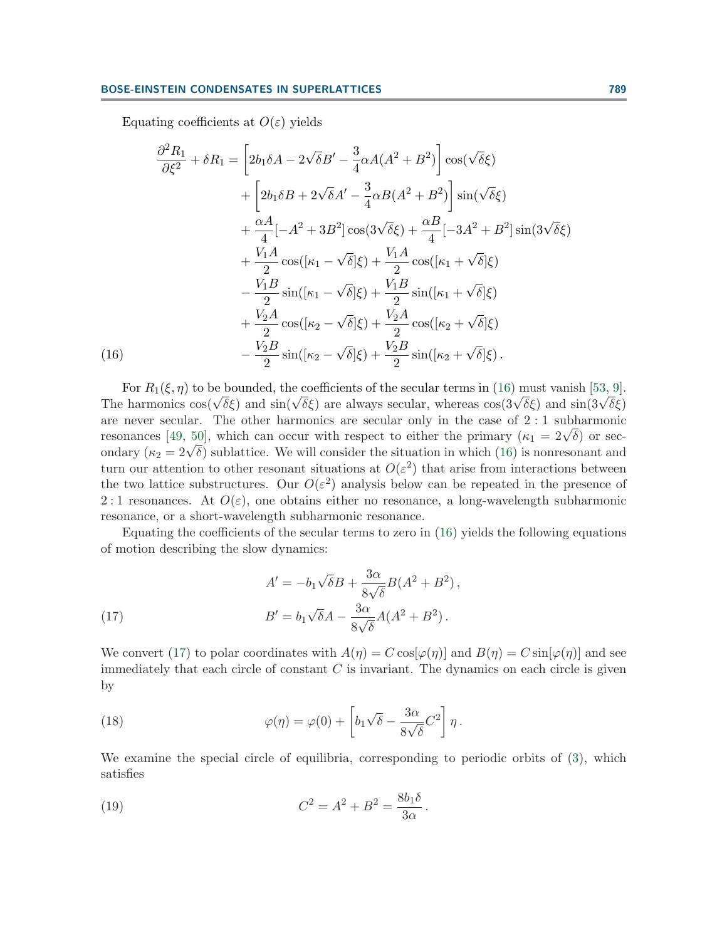<span id="page-6-0"></span>Equating coefficients at  $O(\varepsilon)$  yields

$$
\frac{\partial^2 R_1}{\partial \xi^2} + \delta R_1 = \left[ 2b_1 \delta A - 2\sqrt{\delta} B' - \frac{3}{4} \alpha A (A^2 + B^2) \right] \cos(\sqrt{\delta}\xi)
$$
  
+ 
$$
\left[ 2b_1 \delta B + 2\sqrt{\delta} A' - \frac{3}{4} \alpha B (A^2 + B^2) \right] \sin(\sqrt{\delta}\xi)
$$
  
+ 
$$
\frac{\alpha A}{4} [-A^2 + 3B^2] \cos(3\sqrt{\delta}\xi) + \frac{\alpha B}{4} [-3A^2 + B^2] \sin(3\sqrt{\delta}\xi)
$$
  
+ 
$$
\frac{V_1 A}{2} \cos([k_1 - \sqrt{\delta}]\xi) + \frac{V_1 A}{2} \cos([k_1 + \sqrt{\delta}]\xi)
$$
  
- 
$$
\frac{V_1 B}{2} \sin([k_1 - \sqrt{\delta}]\xi) + \frac{V_1 B}{2} \sin([k_1 + \sqrt{\delta}]\xi)
$$
  
+ 
$$
\frac{V_2 A}{2} \cos([k_2 - \sqrt{\delta}]\xi) + \frac{V_2 A}{2} \cos([k_2 + \sqrt{\delta}]\xi)
$$
  
(16) 
$$
- \frac{V_2 B}{2} \sin([k_2 - \sqrt{\delta}]\xi) + \frac{V_2 B}{2} \sin([k_2 + \sqrt{\delta}]\xi).
$$

For  $R_1(\xi,\eta)$  to be bounded, the coefficients of the secular terms in (16) must vanish [\[53,](#page-24-0) [9\]](#page-22-0). For  $n_1(\xi, \eta)$  to be bounded, the coencients of the securar terms in (10) must vanish [35, 9].<br>The harmonics  $\cos(\sqrt{\delta}\xi)$  and  $\sin(\sqrt{\delta}\xi)$  are always secular, whereas  $\cos(3\sqrt{\delta}\xi)$  and  $\sin(3\sqrt{\delta}\xi)$ are never secular. The other harmonics are secular only in the case of 2 : 1 subharmonic are never secular. The other narmonics are secular only in the case of  $2 : 1$  subharmonic<br>resonances [\[49,](#page-23-0) [50\]](#page-23-0), which can occur with respect to either the primary ( $\kappa_1 = 2\sqrt{\delta}$ ) or secresonances [49, 50], which can occur with respect to either the primary ( $\kappa_1 = 2\sqrt{v}$ ) or secondary ( $\kappa_2 = 2\sqrt{\delta}$ ) sublattice. We will consider the situation in which (16) is nonresonant and turn our attention to other resonant situations at  $O(\varepsilon^2)$  that arise from interactions between the two lattice substructures. Our  $O(\varepsilon^2)$  analysis below can be repeated in the presence of 2 : 1 resonances. At  $O(\varepsilon)$ , one obtains either no resonance, a long-wavelength subharmonic resonance, or a short-wavelength subharmonic resonance.

Equating the coefficients of the secular terms to zero in (16) yields the following equations of motion describing the slow dynamics:

(17) 
$$
A' = -b_1\sqrt{\delta}B + \frac{3\alpha}{8\sqrt{\delta}}B(A^2 + B^2),
$$

$$
B' = b_1\sqrt{\delta}A - \frac{3\alpha}{8\sqrt{\delta}}A(A^2 + B^2).
$$

We convert (17) to polar coordinates with  $A(\eta) = C \cos[\varphi(\eta)]$  and  $B(\eta) = C \sin[\varphi(\eta)]$  and see immediately that each circle of constant  $C$  is invariant. The dynamics on each circle is given by

(18) 
$$
\varphi(\eta) = \varphi(0) + \left[b_1\sqrt{\delta} - \frac{3\alpha}{8\sqrt{\delta}}C^2\right]\eta.
$$

We examine the special circle of equilibria, corresponding to periodic orbits of  $(3)$ , which satisfies

(19) 
$$
C^2 = A^2 + B^2 = \frac{8b_1\delta}{3\alpha}.
$$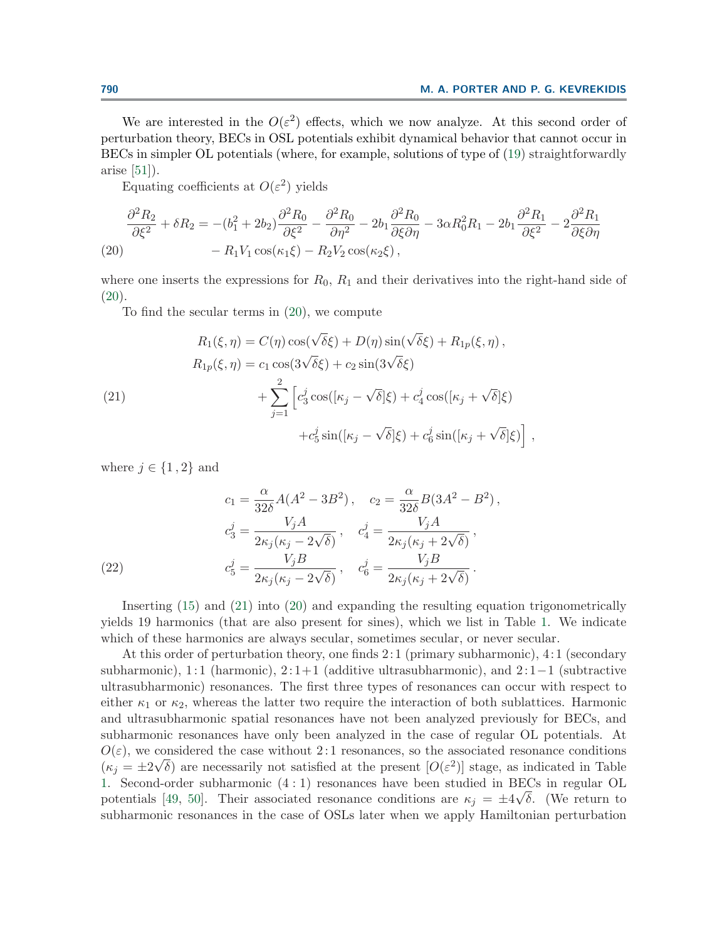<span id="page-7-0"></span>We are interested in the  $O(\varepsilon^2)$  effects, which we now analyze. At this second order of perturbation theory, BECs in OSL potentials exhibit dynamical behavior that cannot occur in BECs in simpler OL potentials (where, for example, solutions of type of [\(19\)](#page-6-0) straightforwardly arise [\[51\]](#page-23-0)).

Equating coefficients at  $O(\varepsilon^2)$  yields

$$
\frac{\partial^2 R_2}{\partial \xi^2} + \delta R_2 = -(b_1^2 + 2b_2) \frac{\partial^2 R_0}{\partial \xi^2} - \frac{\partial^2 R_0}{\partial \eta^2} - 2b_1 \frac{\partial^2 R_0}{\partial \xi \partial \eta} - 3\alpha R_0^2 R_1 - 2b_1 \frac{\partial^2 R_1}{\partial \xi^2} - 2\frac{\partial^2 R_1}{\partial \xi \partial \eta}
$$
\n(20)\n
$$
- R_1 V_1 \cos(\kappa_1 \xi) - R_2 V_2 \cos(\kappa_2 \xi),
$$

where one inserts the expressions for  $R_0$ ,  $R_1$  and their derivatives into the right-hand side of  $(20).$ 

To find the secular terms in (20), we compute

(21)  
\n
$$
R_1(\xi, \eta) = C(\eta) \cos(\sqrt{\delta}\xi) + D(\eta) \sin(\sqrt{\delta}\xi) + R_{1p}(\xi, \eta),
$$
\n
$$
R_{1p}(\xi, \eta) = c_1 \cos(3\sqrt{\delta}\xi) + c_2 \sin(3\sqrt{\delta}\xi)
$$
\n
$$
+ \sum_{j=1}^{2} \left[ c_3^j \cos([\kappa_j - \sqrt{\delta}]\xi) + c_4^j \cos([\kappa_j + \sqrt{\delta}]\xi) + c_5^j \sin([\kappa_j - \sqrt{\delta}]\xi) + c_6^j \sin([\kappa_j + \sqrt{\delta}]\xi) \right],
$$

where  $j \in \{1, 2\}$  and

(22) 
$$
c_1 = \frac{\alpha}{32\delta} A(A^2 - 3B^2), \quad c_2 = \frac{\alpha}{32\delta} B(3A^2 - B^2),
$$

$$
c_3^j = \frac{V_j A}{2\kappa_j(\kappa_j - 2\sqrt{\delta})}, \quad c_4^j = \frac{V_j A}{2\kappa_j(\kappa_j + 2\sqrt{\delta})},
$$

$$
c_5^j = \frac{V_j B}{2\kappa_j(\kappa_j - 2\sqrt{\delta})}, \quad c_6^j = \frac{V_j B}{2\kappa_j(\kappa_j + 2\sqrt{\delta})}.
$$

Inserting [\(15\)](#page-5-0) and (21) into (20) and expanding the resulting equation trigonometrically yields 19 harmonics (that are also present for sines), which we list in Table [1.](#page-8-0) We indicate which of these harmonics are always secular, sometimes secular, or never secular.

At this order of perturbation theory, one finds 2:1 (primary subharmonic), 4:1 (secondary subharmonic), 1:1 (harmonic), 2:1+1 (additive ultrasubharmonic), and 2:1−1 (subtractive ultrasubharmonic) resonances. The first three types of resonances can occur with respect to either  $\kappa_1$  or  $\kappa_2$ , whereas the latter two require the interaction of both sublattices. Harmonic and ultrasubharmonic spatial resonances have not been analyzed previously for BECs, and subharmonic resonances have only been analyzed in the case of regular OL potentials. At  $O(\varepsilon)$ , we considered the case without 2:1 resonances, so the associated resonance conditions  $(\kappa_j = \pm 2\sqrt{\delta})$  are necessarily not satisfied at the present  $[O(\varepsilon^2)]$  stage, as indicated in Table [1.](#page-8-0) Second-order subharmonic  $(4:1)$  resonances have been studied in BECs in regular OL potentials [\[49,](#page-23-0) [50\]](#page-23-0). Their associated resonance conditions are  $\kappa_j = \pm 4\sqrt{\delta}$ . (We return to subharmonic resonances in the case of OSLs later when we apply Hamiltonian perturbation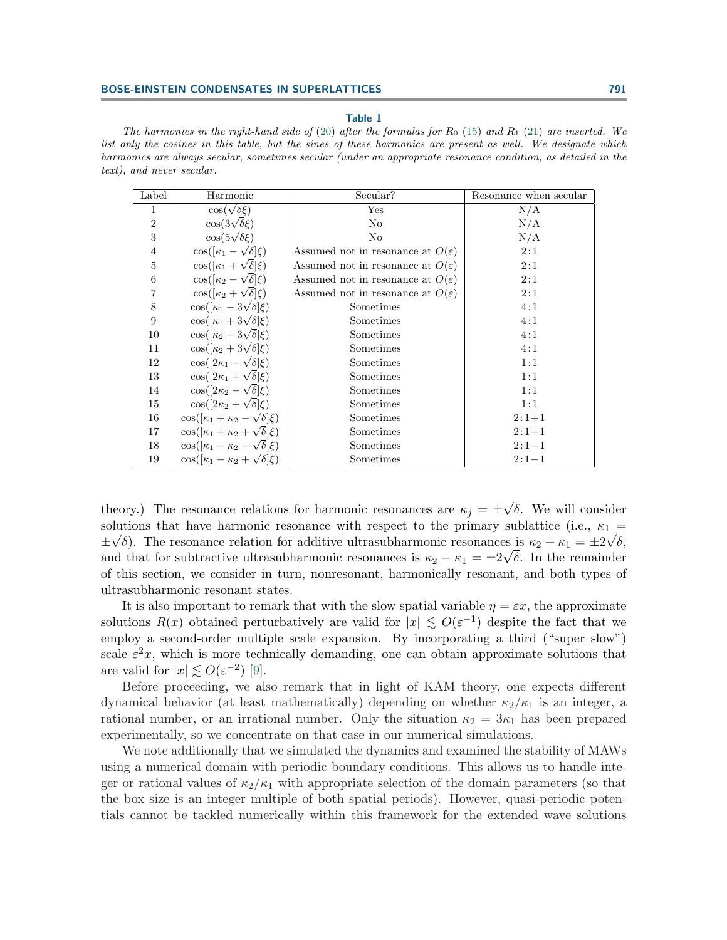#### **Table 1**

<span id="page-8-0"></span>The harmonics in the right-hand side of [\(20\)](#page-7-0) after the formulas for  $R_0$  [\(15\)](#page-5-0) and  $R_1$  [\(21\)](#page-7-0) are inserted. We list only the cosines in this table, but the sines of these harmonics are present as well. We designate which harmonics are always secular, sometimes secular (under an appropriate resonance condition, as detailed in the text), and never secular.

| Label          | Harmonic                                         | Secular?                                     | Resonance when secular |
|----------------|--------------------------------------------------|----------------------------------------------|------------------------|
| 1              | $\cos(\sqrt{\delta}\xi)$                         | Yes                                          | N/A                    |
| $\overline{2}$ | $\cos(3\sqrt{\delta}\xi)$                        | No                                           | N/A                    |
| $\sqrt{3}$     | $\cos(5\sqrt{\delta}\xi)$                        | No                                           | N/A                    |
| $\overline{4}$ | $\cos([\kappa_1-\sqrt{\delta}]\xi)$              | Assumed not in resonance at $O(\varepsilon)$ | 2:1                    |
| $\overline{5}$ | $\cos([\kappa_1 + \sqrt{\delta}]\xi)$            | Assumed not in resonance at $O(\varepsilon)$ | 2:1                    |
| 6              | $\cos([\kappa_2-\sqrt{\delta}]\xi)$              | Assumed not in resonance at $O(\varepsilon)$ | 2:1                    |
| 7              | $\cos([\kappa_2 + \sqrt{\delta}]\xi)$            | Assumed not in resonance at $O(\varepsilon)$ | 2:1                    |
| 8              | $\cos([\kappa_1 - 3\sqrt{\delta}]\xi)$           | Sometimes                                    | 4:1                    |
| 9              | $\cos([\kappa_1 + 3\sqrt{\delta}]\xi)$           | Sometimes                                    | 4:1                    |
| 10             | $\cos([\kappa_2-3\sqrt{\delta}]\xi)$             | Sometimes                                    | 4:1                    |
| 11             | $\cos([\kappa_2 + 3\sqrt{\delta}]\xi)$           | Sometimes                                    | 4:1                    |
| 12             | $\cos([2\kappa_1-\sqrt{\delta}]\xi)$             | Sometimes                                    | 1:1                    |
| 13             | $\cos([2\kappa_1 + \sqrt{\delta}]\xi)$           | Sometimes                                    | 1:1                    |
| 14             | $\cos([2\kappa_2-\sqrt{\delta}]\xi)$             | Sometimes                                    | 1:1                    |
| 15             | $\cos([2\kappa_2 + \sqrt{\delta}]\xi)$           | Sometimes                                    | 1:1                    |
| 16             | $\cos([\kappa_1 + \kappa_2 - \sqrt{\delta}]\xi)$ | Sometimes                                    | $2:1+1$                |
| 17             | $\cos([\kappa_1 + \kappa_2 + \sqrt{\delta}]\xi)$ | Sometimes                                    | $2:1+1$                |
| 18             | $\cos([\kappa_1 - \kappa_2 - \sqrt{\delta}]\xi)$ | Sometimes                                    | $2:1 - 1$              |
| 19             | $\cos([\kappa_1 - \kappa_2 + \sqrt{\delta}]\xi)$ | Sometimes                                    | $2:1 - 1$              |

theory.) The resonance relations for harmonic resonances are  $\kappa_j = \pm$ √ δ. We will consider solutions that have harmonic resonance with respect to the primary sublattice (i.e.,  $\kappa_1 =$  $\pm\sqrt{\delta}$ ). The resonance relation for additive ultrasubharmonic resonances is  $\kappa_2 + \kappa_1 = \pm 2\sqrt{\delta}$ , and that for subtractive ultrasubharmonic resonances is  $\kappa_2 - \kappa_1 = \pm 2\sqrt{\delta}$ . In the remainder of this section, we consider in turn, nonresonant, harmonically resonant, and both types of ultrasubharmonic resonant states.

It is also important to remark that with the slow spatial variable  $\eta = \varepsilon x$ , the approximate solutions  $R(x)$  obtained perturbatively are valid for  $|x| \lesssim O(\varepsilon^{-1})$  despite the fact that we employ a second-order multiple scale expansion. By incorporating a third ("super slow") scale  $\varepsilon^2 x$ , which is more technically demanding, one can obtain approximate solutions that are valid for  $|x| \lesssim O(\varepsilon^{-2})$  [\[9\]](#page-22-0).

Before proceeding, we also remark that in light of KAM theory, one expects different dynamical behavior (at least mathematically) depending on whether  $\kappa_2/\kappa_1$  is an integer, a rational number, or an irrational number. Only the situation  $\kappa_2 = 3\kappa_1$  has been prepared experimentally, so we concentrate on that case in our numerical simulations.

We note additionally that we simulated the dynamics and examined the stability of MAWs using a numerical domain with periodic boundary conditions. This allows us to handle integer or rational values of  $\kappa_2/\kappa_1$  with appropriate selection of the domain parameters (so that the box size is an integer multiple of both spatial periods). However, quasi-periodic potentials cannot be tackled numerically within this framework for the extended wave solutions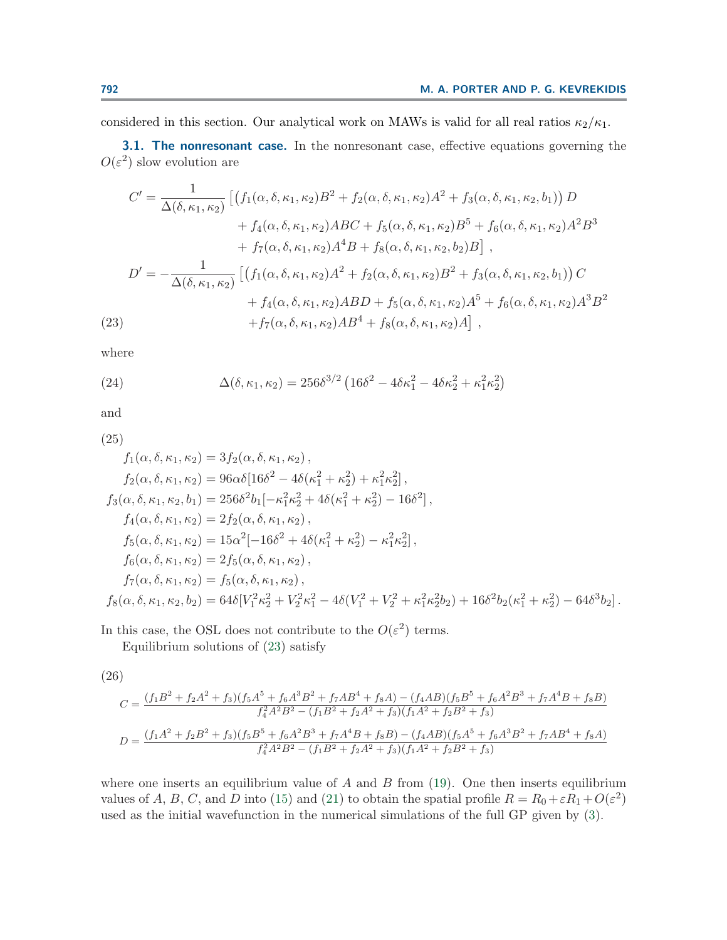<span id="page-9-0"></span>considered in this section. Our analytical work on MAWs is valid for all real ratios  $\kappa_2/\kappa_1$ .

**3.1. The nonresonant case.** In the nonresonant case, effective equations governing the  $O(\varepsilon^2)$  slow evolution are

$$
C' = \frac{1}{\Delta(\delta, \kappa_1, \kappa_2)} \left[ \left( f_1(\alpha, \delta, \kappa_1, \kappa_2) B^2 + f_2(\alpha, \delta, \kappa_1, \kappa_2) A^2 + f_3(\alpha, \delta, \kappa_1, \kappa_2, b_1) \right) D \right. \\
\left. + f_4(\alpha, \delta, \kappa_1, \kappa_2) ABC + f_5(\alpha, \delta, \kappa_1, \kappa_2) B^5 + f_6(\alpha, \delta, \kappa_1, \kappa_2) A^2 B^3 \right. \\
\left. + f_7(\alpha, \delta, \kappa_1, \kappa_2) A^4 B + f_8(\alpha, \delta, \kappa_1, \kappa_2, b_2) B \right],
$$
\n
$$
D' = -\frac{1}{\Delta(\delta, \kappa_1, \kappa_2)} \left[ \left( f_1(\alpha, \delta, \kappa_1, \kappa_2) A^2 + f_2(\alpha, \delta, \kappa_1, \kappa_2) B^2 + f_3(\alpha, \delta, \kappa_1, \kappa_2, b_1) \right) C \right. \\
\left. + f_4(\alpha, \delta, \kappa_1, \kappa_2) A B D + f_5(\alpha, \delta, \kappa_1, \kappa_2) A^5 + f_6(\alpha, \delta, \kappa_1, \kappa_2) A^3 B^2 \right. \\
\left. + f_7(\alpha, \delta, \kappa_1, \kappa_2) AB^4 + f_8(\alpha, \delta, \kappa_1, \kappa_2) A \right],
$$

where

(24) 
$$
\Delta(\delta, \kappa_1, \kappa_2) = 256\delta^{3/2} \left( 16\delta^2 - 4\delta \kappa_1^2 - 4\delta \kappa_2^2 + \kappa_1^2 \kappa_2^2 \right)
$$

and

(25)

$$
f_1(\alpha, \delta, \kappa_1, \kappa_2) = 3f_2(\alpha, \delta, \kappa_1, \kappa_2),
$$
  
\n
$$
f_2(\alpha, \delta, \kappa_1, \kappa_2) = 96\alpha\delta[16\delta^2 - 4\delta(\kappa_1^2 + \kappa_2^2) + \kappa_1^2\kappa_2^2],
$$
  
\n
$$
f_3(\alpha, \delta, \kappa_1, \kappa_2, b_1) = 256\delta^2b_1[-\kappa_1^2\kappa_2^2 + 4\delta(\kappa_1^2 + \kappa_2^2) - 16\delta^2],
$$
  
\n
$$
f_4(\alpha, \delta, \kappa_1, \kappa_2) = 2f_2(\alpha, \delta, \kappa_1, \kappa_2),
$$
  
\n
$$
f_5(\alpha, \delta, \kappa_1, \kappa_2) = 15\alpha^2[-16\delta^2 + 4\delta(\kappa_1^2 + \kappa_2^2) - \kappa_1^2\kappa_2^2],
$$
  
\n
$$
f_6(\alpha, \delta, \kappa_1, \kappa_2) = 2f_5(\alpha, \delta, \kappa_1, \kappa_2),
$$
  
\n
$$
f_7(\alpha, \delta, \kappa_1, \kappa_2) = f_5(\alpha, \delta, \kappa_1, \kappa_2),
$$
  
\n
$$
f_8(\alpha, \delta, \kappa_1, \kappa_2, b_2) = 64\delta[V_1^2\kappa_2^2 + V_2^2\kappa_1^2 - 4\delta(V_1^2 + V_2^2 + \kappa_1^2\kappa_2^2b_2) + 16\delta^2b_2(\kappa_1^2 + \kappa_2^2) - 64\delta^3b_2].
$$

In this case, the OSL does not contribute to the  $O(\varepsilon^2)$  terms.

Equilibrium solutions of (23) satisfy

$$
(26)
$$

$$
C = \frac{(f_1B^2 + f_2A^2 + f_3)(f_5A^5 + f_6A^3B^2 + f_7AB^4 + f_8A) - (f_4AB)(f_5B^5 + f_6A^2B^3 + f_7A^4B + f_8B)}{f_4^2A^2B^2 - (f_1B^2 + f_2A^2 + f_3)(f_1A^2 + f_2B^2 + f_3)}
$$
  

$$
D = \frac{(f_1A^2 + f_2B^2 + f_3)(f_5B^5 + f_6A^2B^3 + f_7A^4B + f_8B) - (f_4AB)(f_5A^5 + f_6A^3B^2 + f_7AB^4 + f_8A)}{f_4^2A^2B^2 - (f_1B^2 + f_2A^2 + f_3)(f_1A^2 + f_2B^2 + f_3)}
$$

where one inserts an equilibrium value of  $A$  and  $B$  from [\(19\)](#page-6-0). One then inserts equilibrium values of A, B, C, and D into [\(15\)](#page-5-0) and [\(21\)](#page-7-0) to obtain the spatial profile  $R = R_0 + \varepsilon R_1 + O(\varepsilon^2)$ used as the initial wavefunction in the numerical simulations of the full GP given by [\(3\)](#page-2-0).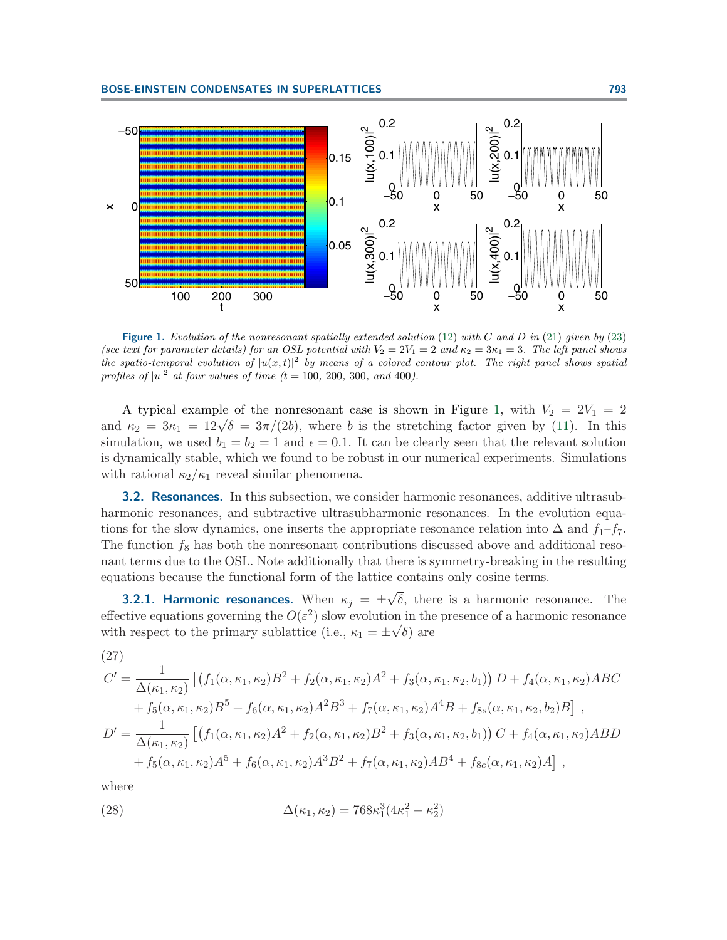<span id="page-10-0"></span>

**Figure 1.** Evolution of the nonresonant spatially extended solution [\(12\)](#page-5-0) with C and D in [\(21\)](#page-7-0) given by [\(23\)](#page-9-0) (see text for parameter details) for an OSL potential with  $V_2 = 2V_1 = 2$  and  $\kappa_2 = 3\kappa_1 = 3$ . The left panel shows the spatio-temporal evolution of  $|u(x,t)|^2$  by means of a colored contour plot. The right panel shows spatial profiles of  $|u|^2$  at four values of time  $(t = 100, 200, 300,$  and 400).

A typical example of the nonresonant case is shown in Figure 1, with  $V_2 = 2V_1 = 2$ A typical example of the nonresonant case is shown in Figure 1, with  $v_2 = 2v_1 = 2$ <br>and  $\kappa_2 = 3\kappa_1 = 12\sqrt{\delta} = 3\pi/(2b)$ , where b is the stretching factor given by [\(11\)](#page-5-0). In this simulation, we used  $b_1 = b_2 = 1$  and  $\epsilon = 0.1$ . It can be clearly seen that the relevant solution is dynamically stable, which we found to be robust in our numerical experiments. Simulations with rational  $\kappa_2/\kappa_1$  reveal similar phenomena.

**3.2. Resonances.** In this subsection, we consider harmonic resonances, additive ultrasubharmonic resonances, and subtractive ultrasubharmonic resonances. In the evolution equations for the slow dynamics, one inserts the appropriate resonance relation into  $\Delta$  and  $f_1-f_7$ . The function  $f_8$  has both the nonresonant contributions discussed above and additional resonant terms due to the OSL. Note additionally that there is symmetry-breaking in the resulting equations because the functional form of the lattice contains only cosine terms.

**3.2.1. Harmonic resonances.** When  $\kappa_j = \pm$ √  $\delta$ , there is a harmonic resonance. The effective equations governing the  $O(\varepsilon^2)$  slow evolution in the presence of a harmonic resonance with respect to the primary sublattice (i.e.,  $\kappa_1 = \pm \sqrt{\delta}$ ) are

$$
(27)
$$

$$
C' = \frac{1}{\Delta(\kappa_1, \kappa_2)} \left[ \left( f_1(\alpha, \kappa_1, \kappa_2) B^2 + f_2(\alpha, \kappa_1, \kappa_2) A^2 + f_3(\alpha, \kappa_1, \kappa_2, b_1) \right) D + f_4(\alpha, \kappa_1, \kappa_2) ABC + f_5(\alpha, \kappa_1, \kappa_2) B^5 + f_6(\alpha, \kappa_1, \kappa_2) A^2 B^3 + f_7(\alpha, \kappa_1, \kappa_2) A^4 B + f_{8s}(\alpha, \kappa_1, \kappa_2, b_2) B \right],
$$
  

$$
D' = \frac{1}{\Delta(\kappa_1, \kappa_2)} \left[ \left( f_1(\alpha, \kappa_1, \kappa_2) A^2 + f_2(\alpha, \kappa_1, \kappa_2) B^2 + f_3(\alpha, \kappa_1, \kappa_2, b_1) \right) C + f_4(\alpha, \kappa_1, \kappa_2) ABD + f_5(\alpha, \kappa_1, \kappa_2) A^5 + f_6(\alpha, \kappa_1, \kappa_2) A^3 B^2 + f_7(\alpha, \kappa_1, \kappa_2) AB^4 + f_{8c}(\alpha, \kappa_1, \kappa_2) A \right],
$$

where

(28) 
$$
\Delta(\kappa_1, \kappa_2) = 768\kappa_1^3(4\kappa_1^2 - \kappa_2^2)
$$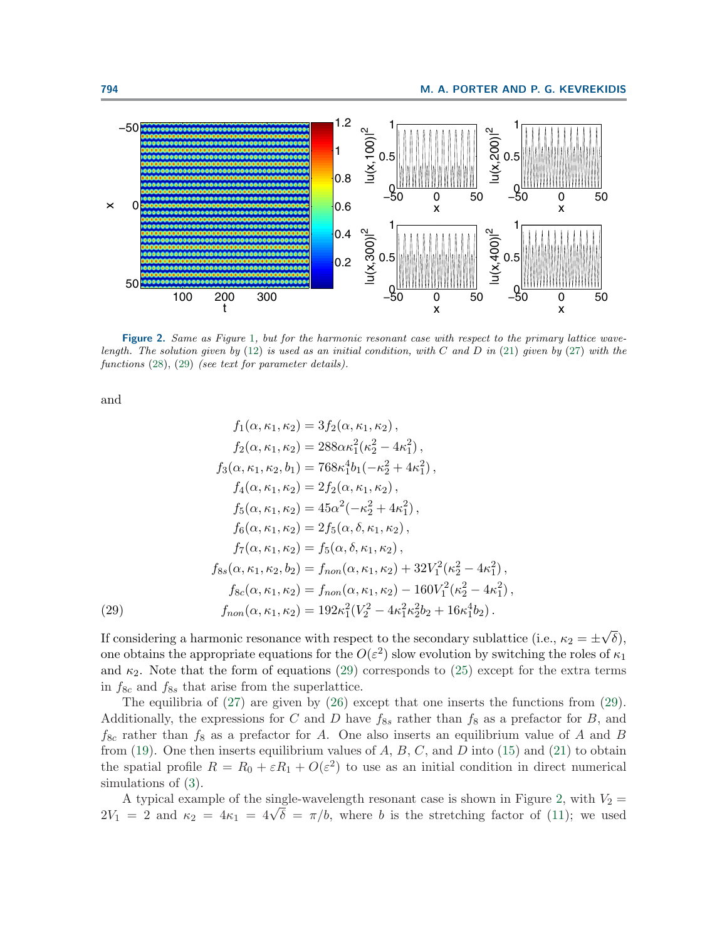

**Figure 2.** Same as Figure [1](#page-10-0), but for the harmonic resonant case with respect to the primary lattice wavelength. The solution given by  $(12)$  is used as an initial condition, with C and D in  $(21)$  given by  $(27)$  with the functions  $(28)$ ,  $(29)$  (see text for parameter details).

and

$$
f_1(\alpha, \kappa_1, \kappa_2) = 3f_2(\alpha, \kappa_1, \kappa_2),
$$
  
\n
$$
f_2(\alpha, \kappa_1, \kappa_2) = 288\alpha\kappa_1^2(\kappa_2^2 - 4\kappa_1^2),
$$
  
\n
$$
f_3(\alpha, \kappa_1, \kappa_2, b_1) = 768\kappa_1^4b_1(-\kappa_2^2 + 4\kappa_1^2),
$$
  
\n
$$
f_4(\alpha, \kappa_1, \kappa_2) = 2f_2(\alpha, \kappa_1, \kappa_2),
$$
  
\n
$$
f_5(\alpha, \kappa_1, \kappa_2) = 45\alpha^2(-\kappa_2^2 + 4\kappa_1^2),
$$
  
\n
$$
f_6(\alpha, \kappa_1, \kappa_2) = 2f_5(\alpha, \delta, \kappa_1, \kappa_2),
$$
  
\n
$$
f_7(\alpha, \kappa_1, \kappa_2) = f_5(\alpha, \delta, \kappa_1, \kappa_2),
$$
  
\n
$$
f_{8s}(\alpha, \kappa_1, \kappa_2, b_2) = f_{non}(\alpha, \kappa_1, \kappa_2) + 32V_1^2(\kappa_2^2 - 4\kappa_1^2),
$$
  
\n
$$
f_{8c}(\alpha, \kappa_1, \kappa_2) = f_{non}(\alpha, \kappa_1, \kappa_2) - 160V_1^2(\kappa_2^2 - 4\kappa_1^2),
$$
  
\n
$$
f_{non}(\alpha, \kappa_1, \kappa_2) = 192\kappa_1^2(V_2^2 - 4\kappa_1^2\kappa_2^2b_2 + 16\kappa_1^4b_2).
$$

If considering a harmonic resonance with respect to the secondary sublattice (i.e.,  $\kappa_2 = \pm$ √ δ), one obtains the appropriate equations for the  $O(\varepsilon^2)$  slow evolution by switching the roles of  $\kappa_1$ and  $\kappa_2$ . Note that the form of equations (29) corresponds to [\(25\)](#page-9-0) except for the extra terms in  $f_{8c}$  and  $f_{8s}$  that arise from the superlattice.

The equilibria of [\(27\)](#page-9-0) are given by [\(26\)](#page-9-0) except that one inserts the functions from (29). Additionally, the expressions for C and D have  $f_{8s}$  rather than  $f_8$  as a prefactor for B, and  $f_{8c}$  rather than  $f_8$  as a prefactor for A. One also inserts an equilibrium value of A and B from [\(19\)](#page-6-0). One then inserts equilibrium values of  $A, B, C$ , and  $D$  into [\(15\)](#page-5-0) and [\(21\)](#page-7-0) to obtain the spatial profile  $R = R_0 + \varepsilon R_1 + O(\varepsilon^2)$  to use as an initial condition in direct numerical simulations of [\(3\)](#page-2-0).

A typical example of the single-wavelength resonant case is shown in Figure 2, with  $V_2 =$ A typical example of the single-wavelength resonant case is shown in Figure 2, with  $v_2 = 2V_1 = 2$  and  $\kappa_2 = 4\kappa_1 = 4\sqrt{\delta} = \pi/b$ , where b is the stretching factor of [\(11\)](#page-5-0); we used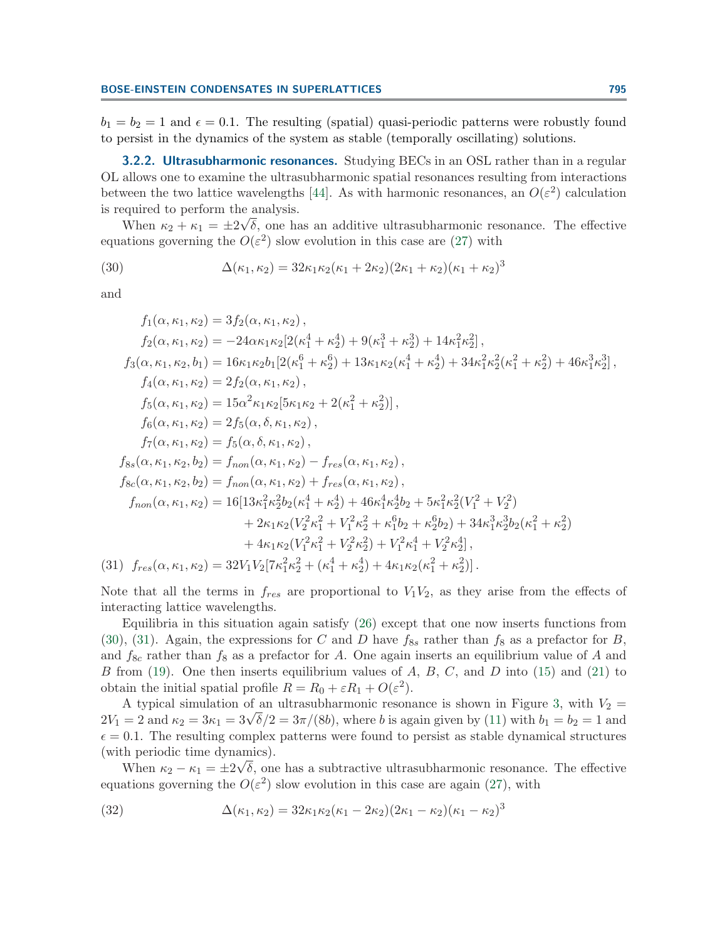<span id="page-12-0"></span> $b_1 = b_2 = 1$  and  $\epsilon = 0.1$ . The resulting (spatial) quasi-periodic patterns were robustly found to persist in the dynamics of the system as stable (temporally oscillating) solutions.

**3.2.2. Ultrasubharmonic resonances.** Studying BECs in an OSL rather than in a regular OL allows one to examine the ultrasubharmonic spatial resonances resulting from interactions between the two lattice wavelengths [\[44\]](#page-23-0). As with harmonic resonances, an  $O(\varepsilon^2)$  calculation is required to perform the analysis.

When  $\kappa_2 + \kappa_1 = \pm 2\sqrt{\delta}$ , one has an additive ultrasubharmonic resonance. The effective equations governing the  $O(\varepsilon^2)$  slow evolution in this case are [\(27\)](#page-9-0) with

(30) 
$$
\Delta(\kappa_1, \kappa_2) = 32\kappa_1 \kappa_2 (\kappa_1 + 2\kappa_2)(2\kappa_1 + \kappa_2)(\kappa_1 + \kappa_2)^3
$$

and

$$
f_1(\alpha, \kappa_1, \kappa_2) = 3f_2(\alpha, \kappa_1, \kappa_2),
$$
  
\n
$$
f_2(\alpha, \kappa_1, \kappa_2) = -24\alpha\kappa_1\kappa_2[2(\kappa_1^4 + \kappa_2^4) + 9(\kappa_1^3 + \kappa_2^3) + 14\kappa_1^2\kappa_2^2],
$$
  
\n
$$
f_3(\alpha, \kappa_1, \kappa_2, b_1) = 16\kappa_1\kappa_2b_1[2(\kappa_1^6 + \kappa_2^6) + 13\kappa_1\kappa_2(\kappa_1^4 + \kappa_2^4) + 34\kappa_1^2\kappa_2^2(\kappa_1^2 + \kappa_2^2) + 46\kappa_1^3\kappa_2^3],
$$
  
\n
$$
f_4(\alpha, \kappa_1, \kappa_2) = 2f_2(\alpha, \kappa_1, \kappa_2),
$$
  
\n
$$
f_5(\alpha, \kappa_1, \kappa_2) = 15\alpha^2\kappa_1\kappa_2[5\kappa_1\kappa_2 + 2(\kappa_1^2 + \kappa_2^2)],
$$
  
\n
$$
f_6(\alpha, \kappa_1, \kappa_2) = 2f_5(\alpha, \delta, \kappa_1, \kappa_2),
$$
  
\n
$$
f_7(\alpha, \kappa_1, \kappa_2) = f_5(\alpha, \delta, \kappa_1, \kappa_2),
$$
  
\n
$$
f_{8s}(\alpha, \kappa_1, \kappa_2, b_2) = f_{non}(\alpha, \kappa_1, \kappa_2) + f_{res}(\alpha, \kappa_1, \kappa_2),
$$
  
\n
$$
f_{8s}(\alpha, \kappa_1, \kappa_2, b_2) = f_{non}(\alpha, \kappa_1, \kappa_2) + f_{res}(\alpha, \kappa_1, \kappa_2),
$$
  
\n
$$
f_{non}(\alpha, \kappa_1, \kappa_2) = 16[13\kappa_1^2\kappa_2^2b_2(\kappa_1^4 + \kappa_2^4) + 46\kappa
$$

Note that all the terms in  $f_{res}$  are proportional to  $V_1V_2$ , as they arise from the effects of interacting lattice wavelengths.

Equilibria in this situation again satisfy [\(26\)](#page-9-0) except that one now inserts functions from (30), (31). Again, the expressions for C and D have  $f_{8s}$  rather than  $f_8$  as a prefactor for B, and  $f_{8c}$  rather than  $f_8$  as a prefactor for A. One again inserts an equilibrium value of A and B from  $(19)$ . One then inserts equilibrium values of A, B, C, and D into  $(15)$  and  $(21)$  to obtain the initial spatial profile  $R = R_0 + \varepsilon R_1 + O(\varepsilon^2)$ .

A typical simulation of an ultrasubharmonic resonance is shown in Figure [3,](#page-13-0) with  $V_2 =$ A typical simulation of an ultrasubharmonic resonance is shown in Figure 3, with  $v_2 = 2V_1 = 2$  and  $\kappa_2 = 3\kappa_1 = 3\sqrt{\delta}/2 = 3\pi/(8b)$ , where b is again given by [\(11\)](#page-5-0) with  $b_1 = b_2 = 1$  and  $\epsilon = 0.1$ . The resulting complex patterns were found to persist as stable dynamical structures (with periodic time dynamics).

When  $\kappa_2 - \kappa_1 = \pm 2\sqrt{\delta}$ , one has a subtractive ultrasubharmonic resonance. The effective equations governing the  $O(\varepsilon^2)$  slow evolution in this case are again [\(27\)](#page-9-0), with

(32) 
$$
\Delta(\kappa_1, \kappa_2) = 32\kappa_1 \kappa_2 (\kappa_1 - 2\kappa_2)(2\kappa_1 - \kappa_2)(\kappa_1 - \kappa_2)^3
$$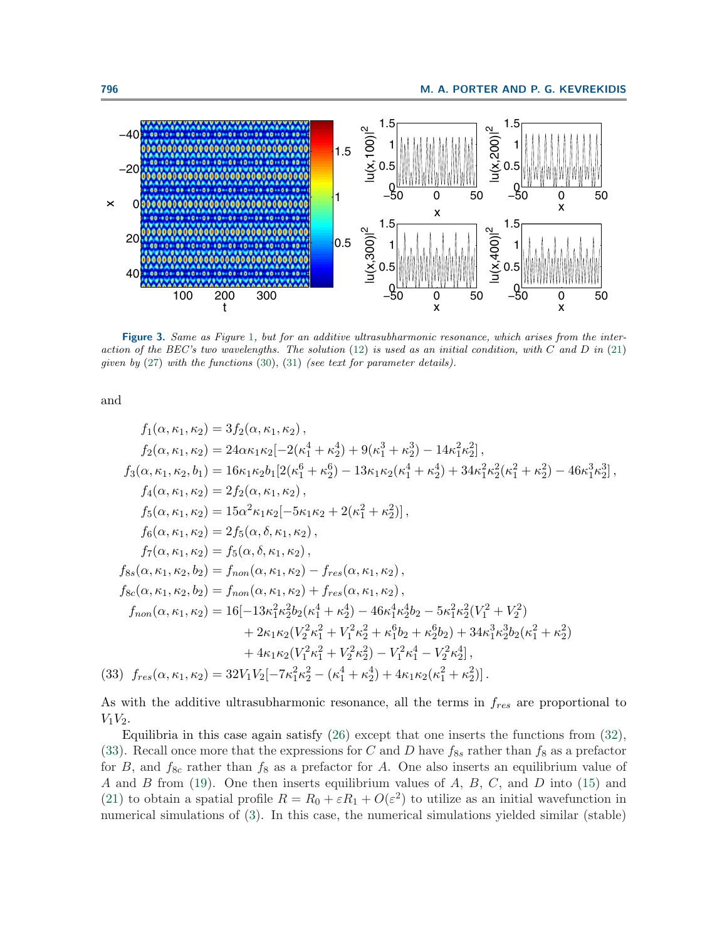<span id="page-13-0"></span>

**Figure 3.** Same as Figure [1](#page-10-0), but for an additive ultrasubharmonic resonance, which arises from the interaction of the BEC's two wavelengths. The solution  $(12)$  is used as an initial condition, with C and D in  $(21)$ given by  $(27)$  with the functions  $(30)$ ,  $(31)$  (see text for parameter details).

and

$$
f_1(\alpha, \kappa_1, \kappa_2) = 3f_2(\alpha, \kappa_1, \kappa_2),
$$
  
\n
$$
f_2(\alpha, \kappa_1, \kappa_2) = 24\alpha\kappa_1\kappa_2[-2(\kappa_1^4 + \kappa_2^4) + 9(\kappa_1^3 + \kappa_2^3) - 14\kappa_1^2\kappa_2^2],
$$
  
\n
$$
f_3(\alpha, \kappa_1, \kappa_2, b_1) = 16\kappa_1\kappa_2b_1[2(\kappa_1^6 + \kappa_2^6) - 13\kappa_1\kappa_2(\kappa_1^4 + \kappa_2^4) + 34\kappa_1^2\kappa_2^2(\kappa_1^2 + \kappa_2^2) - 46\kappa_1^3\kappa_2^3],
$$
  
\n
$$
f_4(\alpha, \kappa_1, \kappa_2) = 2f_2(\alpha, \kappa_1, \kappa_2),
$$
  
\n
$$
f_5(\alpha, \kappa_1, \kappa_2) = 15\alpha^2\kappa_1\kappa_2[-5\kappa_1\kappa_2 + 2(\kappa_1^2 + \kappa_2^2)],
$$
  
\n
$$
f_6(\alpha, \kappa_1, \kappa_2) = 2f_5(\alpha, \delta, \kappa_1, \kappa_2),
$$
  
\n
$$
f_7(\alpha, \kappa_1, \kappa_2, b_2) = f_{non}(\alpha, \kappa_1, \kappa_2) - f_{res}(\alpha, \kappa_1, \kappa_2),
$$
  
\n
$$
f_{8c}(\alpha, \kappa_1, \kappa_2, b_2) = f_{non}(\alpha, \kappa_1, \kappa_2) + f_{res}(\alpha, \kappa_1, \kappa_2),
$$
  
\n
$$
f_{non}(\alpha, \kappa_1, \kappa_2) = 16[-13\kappa_1^2\kappa_2^2b_2(\kappa_1^4 + \kappa_2^4) - 46\kappa_1^4\kappa_2^4b_2 - 5\kappa_1^2\kappa_2^2(\kappa_1^2 + \kappa_2^2) + 2\kappa_
$$

As with the additive ultrasubharmonic resonance, all the terms in  $f_{res}$  are proportional to  $V_1V_2$ .

Equilibria in this case again satisfy  $(26)$  except that one inserts the functions from  $(32)$ , (33). Recall once more that the expressions for C and D have  $f_{8s}$  rather than  $f_8$  as a prefactor for B, and  $f_{8c}$  rather than  $f_8$  as a prefactor for A. One also inserts an equilibrium value of A and B from [\(19\)](#page-6-0). One then inserts equilibrium values of A, B, C, and D into [\(15\)](#page-5-0) and [\(21\)](#page-7-0) to obtain a spatial profile  $R = R_0 + \varepsilon R_1 + O(\varepsilon^2)$  to utilize as an initial wavefunction in numerical simulations of [\(3\)](#page-2-0). In this case, the numerical simulations yielded similar (stable)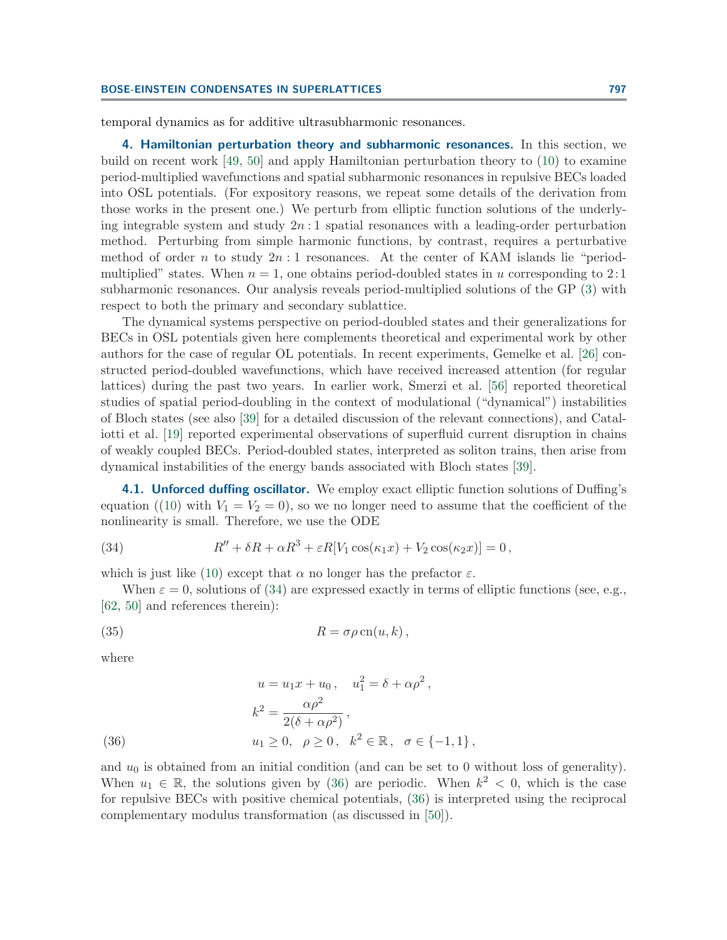<span id="page-14-0"></span>temporal dynamics as for additive ultrasubharmonic resonances.

**4. Hamiltonian perturbation theory and subharmonic resonances.** In this section, we build on recent work [\[49,](#page-23-0) [50\]](#page-23-0) and apply Hamiltonian perturbation theory to [\(10\)](#page-5-0) to examine period-multiplied wavefunctions and spatial subharmonic resonances in repulsive BECs loaded into OSL potentials. (For expository reasons, we repeat some details of the derivation from those works in the present one.) We perturb from elliptic function solutions of the underlying integrable system and study  $2n:1$  spatial resonances with a leading-order perturbation method. Perturbing from simple harmonic functions, by contrast, requires a perturbative method of order n to study  $2n:1$  resonances. At the center of KAM islands lie "periodmultiplied" states. When  $n = 1$ , one obtains period-doubled states in u corresponding to 2:1 subharmonic resonances. Our analysis reveals period-multiplied solutions of the GP [\(3\)](#page-2-0) with respect to both the primary and secondary sublattice.

The dynamical systems perspective on period-doubled states and their generalizations for BECs in OSL potentials given here complements theoretical and experimental work by other authors for the case of regular OL potentials. In recent experiments, Gemelke et al. [\[26\]](#page-22-0) constructed period-doubled wavefunctions, which have received increased attention (for regular lattices) during the past two years. In earlier work, Smerzi et al. [\[56\]](#page-24-0) reported theoretical studies of spatial period-doubling in the context of modulational ("dynamical") instabilities of Bloch states (see also [\[39\]](#page-23-0) for a detailed discussion of the relevant connections), and Cataliotti et al. [\[19\]](#page-22-0) reported experimental observations of superfluid current disruption in chains of weakly coupled BECs. Period-doubled states, interpreted as soliton trains, then arise from dynamical instabilities of the energy bands associated with Bloch states [\[39\]](#page-23-0).

**4.1. Unforced duffing oscillator.** We employ exact elliptic function solutions of Duffing's equation ([\(10\)](#page-5-0) with  $V_1 = V_2 = 0$ ), so we no longer need to assume that the coefficient of the nonlinearity is small. Therefore, we use the ODE

(34) 
$$
R'' + \delta R + \alpha R^3 + \varepsilon R[V_1 \cos(\kappa_1 x) + V_2 \cos(\kappa_2 x)] = 0,
$$

which is just like [\(10\)](#page-5-0) except that  $\alpha$  no longer has the prefactor  $\varepsilon$ .

When  $\varepsilon = 0$ , solutions of (34) are expressed exactly in terms of elliptic functions (see, e.g., [\[62,](#page-24-0) [50\]](#page-23-0) and references therein):

(35) 
$$
R = \sigma \rho \operatorname{cn}(u, k),
$$

where

(36) 
$$
u = u_1 x + u_0, \quad u_1^2 = \delta + \alpha \rho^2,
$$

$$
k^2 = \frac{\alpha \rho^2}{2(\delta + \alpha \rho^2)},
$$

$$
u_1 \ge 0, \quad \rho \ge 0, \quad k^2 \in \mathbb{R}, \quad \sigma \in \{-1, 1\},
$$

and  $u_0$  is obtained from an initial condition (and can be set to 0 without loss of generality). When  $u_1 \in \mathbb{R}$ , the solutions given by (36) are periodic. When  $k^2 < 0$ , which is the case for repulsive BECs with positive chemical potentials, (36) is interpreted using the reciprocal complementary modulus transformation (as discussed in [\[50\]](#page-23-0)).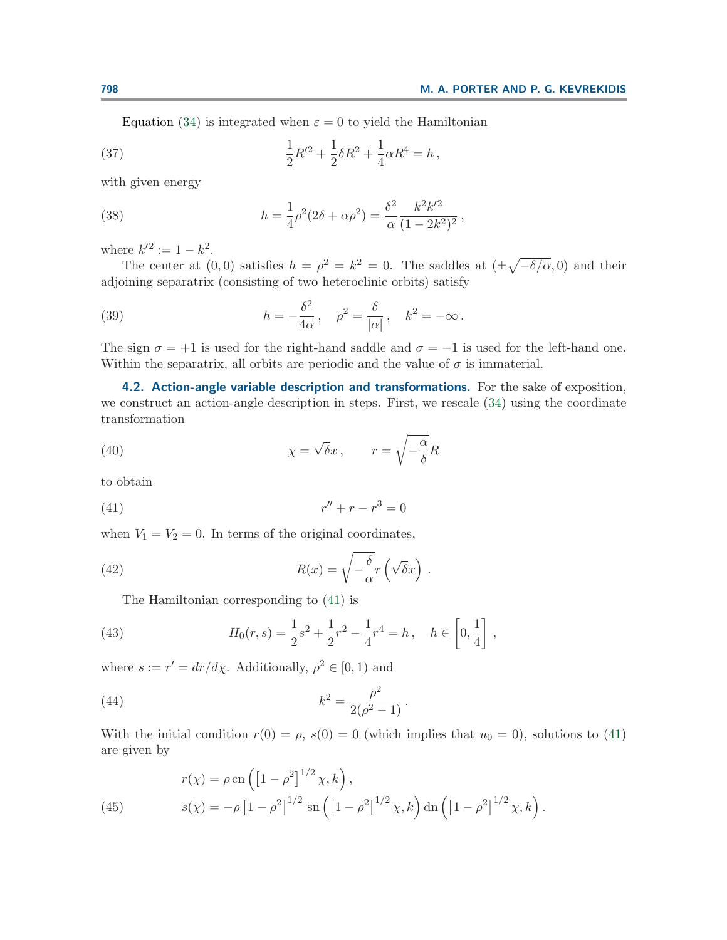<span id="page-15-0"></span>Equation [\(34\)](#page-14-0) is integrated when  $\varepsilon = 0$  to yield the Hamiltonian

(37) 
$$
\frac{1}{2}R'^2 + \frac{1}{2}\delta R^2 + \frac{1}{4}\alpha R^4 = h,
$$

with given energy

(38) 
$$
h = \frac{1}{4}\rho^2(2\delta + \alpha\rho^2) = \frac{\delta^2}{\alpha}\frac{k^2k'^2}{(1-2k^2)^2},
$$

where  $k^2 := 1 - k^2$ .

The center at  $(0,0)$  satisfies  $h = \rho^2 = k^2 = 0$ . The saddles at  $(\pm \sqrt{-\delta/\alpha}, 0)$  and their adjoining separatrix (consisting of two heteroclinic orbits) satisfy

(39) 
$$
h = -\frac{\delta^2}{4\alpha}, \quad \rho^2 = \frac{\delta}{|\alpha|}, \quad k^2 = -\infty.
$$

The sign  $\sigma = +1$  is used for the right-hand saddle and  $\sigma = -1$  is used for the left-hand one. Within the separatrix, all orbits are periodic and the value of  $\sigma$  is immaterial.

**4.2. Action-angle variable description and transformations.** For the sake of exposition, we construct an action-angle description in steps. First, we rescale [\(34\)](#page-14-0) using the coordinate transformation

(40) 
$$
\chi = \sqrt{\delta x}, \qquad r = \sqrt{-\frac{\alpha}{\delta}}R
$$

to obtain

$$
r'' + r - r^3 = 0
$$

when  $V_1 = V_2 = 0$ . In terms of the original coordinates,

(42) 
$$
R(x) = \sqrt{-\frac{\delta}{\alpha}} r \left(\sqrt{\delta} x\right).
$$

The Hamiltonian corresponding to (41) is

(43) 
$$
H_0(r,s) = \frac{1}{2}s^2 + \frac{1}{2}r^2 - \frac{1}{4}r^4 = h, \quad h \in \left[0, \frac{1}{4}\right],
$$

where  $s := r' = dr/d\chi$ . Additionally,  $\rho^2 \in [0, 1)$  and

(44) 
$$
k^2 = \frac{\rho^2}{2(\rho^2 - 1)}.
$$

With the initial condition  $r(0) = \rho$ ,  $s(0) = 0$  (which implies that  $u_0 = 0$ ), solutions to (41) are given by

(45) 
$$
r(\chi) = \rho \operatorname{cn} \left( \left[ 1 - \rho^2 \right]^{1/2} \chi, k \right),
$$

$$
s(\chi) = -\rho \left[ 1 - \rho^2 \right]^{1/2} \operatorname{sn} \left( \left[ 1 - \rho^2 \right]^{1/2} \chi, k \right) \operatorname{dn} \left( \left[ 1 - \rho^2 \right]^{1/2} \chi, k \right).
$$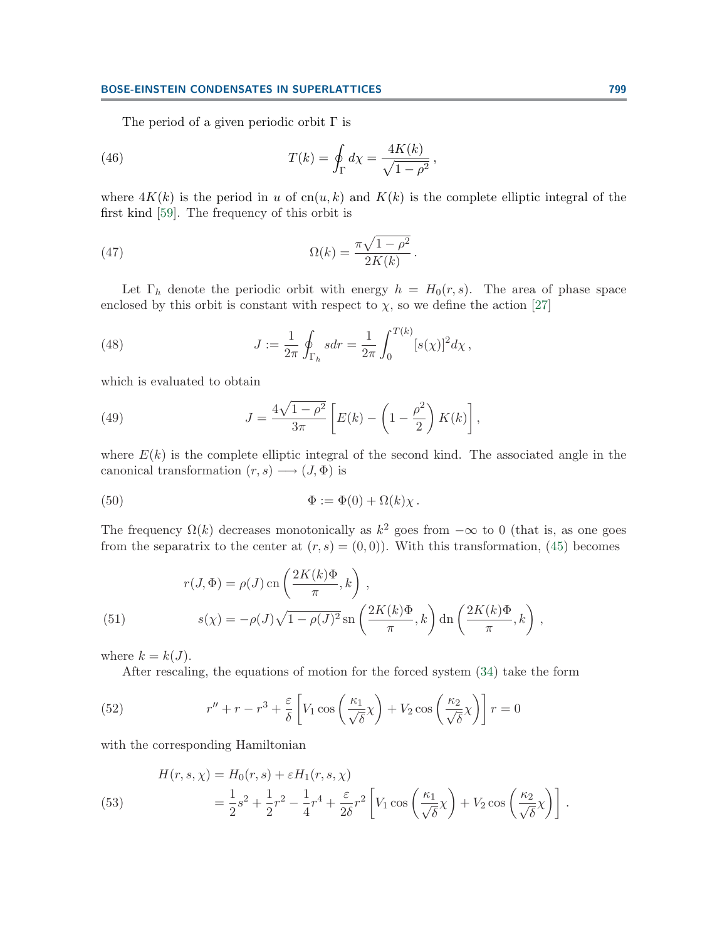The period of a given periodic orbit  $\Gamma$  is

(46) 
$$
T(k) = \oint_{\Gamma} d\chi = \frac{4K(k)}{\sqrt{1 - \rho^2}},
$$

where  $4K(k)$  is the period in u of cn $(u, k)$  and  $K(k)$  is the complete elliptic integral of the first kind [\[59\]](#page-24-0). The frequency of this orbit is

(47) 
$$
\Omega(k) = \frac{\pi \sqrt{1 - \rho^2}}{2K(k)}.
$$

Let  $\Gamma_h$  denote the periodic orbit with energy  $h = H_0(r, s)$ . The area of phase space enclosed by this orbit is constant with respect to  $\chi$ , so we define the action [\[27\]](#page-23-0)

(48) 
$$
J := \frac{1}{2\pi} \oint_{\Gamma_h} s dr = \frac{1}{2\pi} \int_0^{T(k)} [s(\chi)]^2 d\chi,
$$

which is evaluated to obtain

(49) 
$$
J = \frac{4\sqrt{1-\rho^2}}{3\pi} \left[ E(k) - \left(1 - \frac{\rho^2}{2}\right) K(k) \right],
$$

where  $E(k)$  is the complete elliptic integral of the second kind. The associated angle in the canonical transformation  $(r, s) \longrightarrow (J, \Phi)$  is

(50) 
$$
\Phi := \Phi(0) + \Omega(k)\chi.
$$

The frequency  $\Omega(k)$  decreases monotonically as  $k^2$  goes from  $-\infty$  to 0 (that is, as one goes from the separatrix to the center at  $(r, s) = (0, 0)$ . With this transformation, [\(45\)](#page-15-0) becomes

(51) 
$$
r(J, \Phi) = \rho(J) \operatorname{cn}\left(\frac{2K(k)\Phi}{\pi}, k\right),
$$

$$
s(\chi) = -\rho(J)\sqrt{1 - \rho(J)^2} \operatorname{sn}\left(\frac{2K(k)\Phi}{\pi}, k\right) \operatorname{dn}\left(\frac{2K(k)\Phi}{\pi}, k\right),
$$

where  $k = k(J)$ .

After rescaling, the equations of motion for the forced system [\(34\)](#page-14-0) take the form

(52) 
$$
r'' + r - r^3 + \frac{\varepsilon}{\delta} \left[ V_1 \cos \left( \frac{\kappa_1}{\sqrt{\delta}} \chi \right) + V_2 \cos \left( \frac{\kappa_2}{\sqrt{\delta}} \chi \right) \right] r = 0
$$

with the corresponding Hamiltonian

(53) 
$$
H(r, s, \chi) = H_0(r, s) + \varepsilon H_1(r, s, \chi)
$$

$$
= \frac{1}{2} s^2 + \frac{1}{2} r^2 - \frac{1}{4} r^4 + \frac{\varepsilon}{2\delta} r^2 \left[ V_1 \cos\left(\frac{\kappa_1}{\sqrt{\delta}} \chi\right) + V_2 \cos\left(\frac{\kappa_2}{\sqrt{\delta}} \chi\right) \right].
$$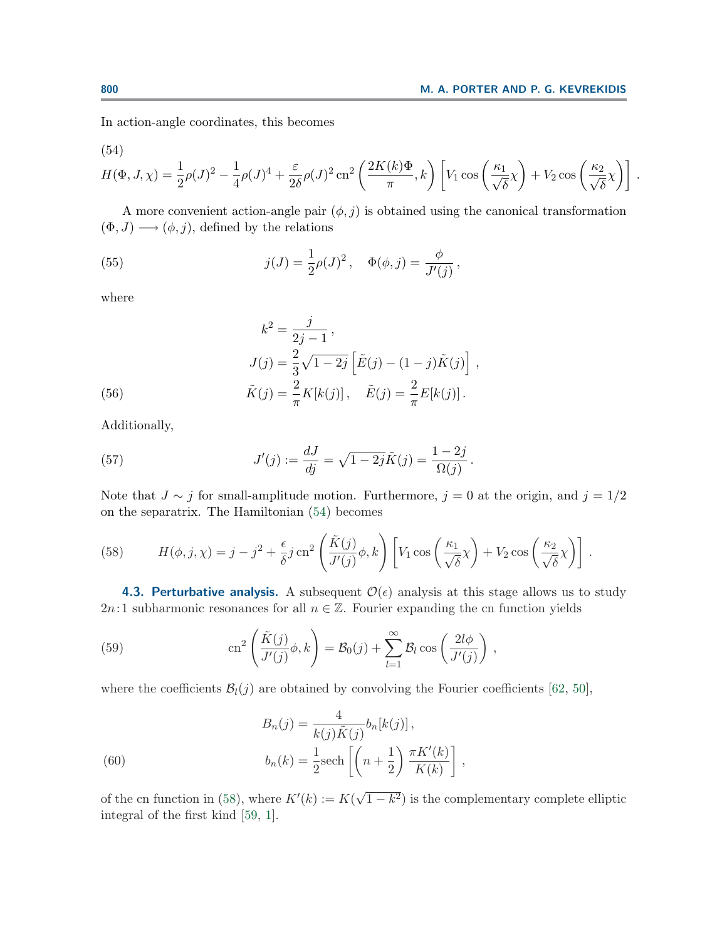<span id="page-17-0"></span>In action-angle coordinates, this becomes

(54)

$$
H(\Phi, J, \chi) = \frac{1}{2}\rho(J)^2 - \frac{1}{4}\rho(J)^4 + \frac{\varepsilon}{2\delta}\rho(J)^2 \operatorname{cn}^2\left(\frac{2K(k)\Phi}{\pi}, k\right) \left[V_1 \cos\left(\frac{\kappa_1}{\sqrt{\delta}}\chi\right) + V_2 \cos\left(\frac{\kappa_2}{\sqrt{\delta}}\chi\right)\right].
$$

A more convenient action-angle pair  $(\phi, j)$  is obtained using the canonical transformation  $(\Phi, J) \longrightarrow (\phi, j)$ , defined by the relations

(55) 
$$
j(J) = \frac{1}{2}\rho(J)^2, \quad \Phi(\phi, j) = \frac{\phi}{J'(j)},
$$

where

(56) 
$$
k^{2} = \frac{j}{2j - 1},
$$

$$
J(j) = \frac{2}{3}\sqrt{1 - 2j} \left[ \tilde{E}(j) - (1 - j)\tilde{K}(j) \right],
$$

$$
\tilde{K}(j) = \frac{2}{\pi}K[k(j)], \quad \tilde{E}(j) = \frac{2}{\pi}E[k(j)].
$$

Additionally,

(57) 
$$
J'(j) := \frac{dJ}{dj} = \sqrt{1 - 2j}\tilde{K}(j) = \frac{1 - 2j}{\Omega(j)}.
$$

Note that  $J \sim j$  for small-amplitude motion. Furthermore,  $j = 0$  at the origin, and  $j = 1/2$ on the separatrix. The Hamiltonian (54) becomes

(58) 
$$
H(\phi, j, \chi) = j - j^2 + \frac{\epsilon}{\delta} j \operatorname{cn}^2 \left( \frac{\tilde{K}(j)}{J'(j)} \phi, k \right) \left[ V_1 \cos \left( \frac{\kappa_1}{\sqrt{\delta}} \chi \right) + V_2 \cos \left( \frac{\kappa_2}{\sqrt{\delta}} \chi \right) \right].
$$

**4.3. Perturbative analysis.** A subsequent  $\mathcal{O}(\epsilon)$  analysis at this stage allows us to study 2n:1 subharmonic resonances for all  $n \in \mathbb{Z}$ . Fourier expanding the cn function yields

(59) 
$$
\operatorname{cn}^{2}\left(\frac{\tilde{K}(j)}{J'(j)}\phi, k\right) = \mathcal{B}_{0}(j) + \sum_{l=1}^{\infty} \mathcal{B}_{l} \cos\left(\frac{2l\phi}{J'(j)}\right),
$$

where the coefficients  $\mathcal{B}_l(j)$  are obtained by convolving the Fourier coefficients [\[62,](#page-24-0) [50\]](#page-23-0),

(60)  

$$
B_n(j) = \frac{4}{k(j)\tilde{K}(j)} b_n[k(j)],
$$

$$
b_n(k) = \frac{1}{2} \text{sech}\left[\left(n + \frac{1}{2}\right) \frac{\pi K'(k)}{K(k)}\right],
$$

of the cn function in (58), where  $K'(k) := K(k)$ √  $(1 - k^2)$  is the complementary complete elliptic integral of the first kind [\[59,](#page-24-0) [1\]](#page-21-0).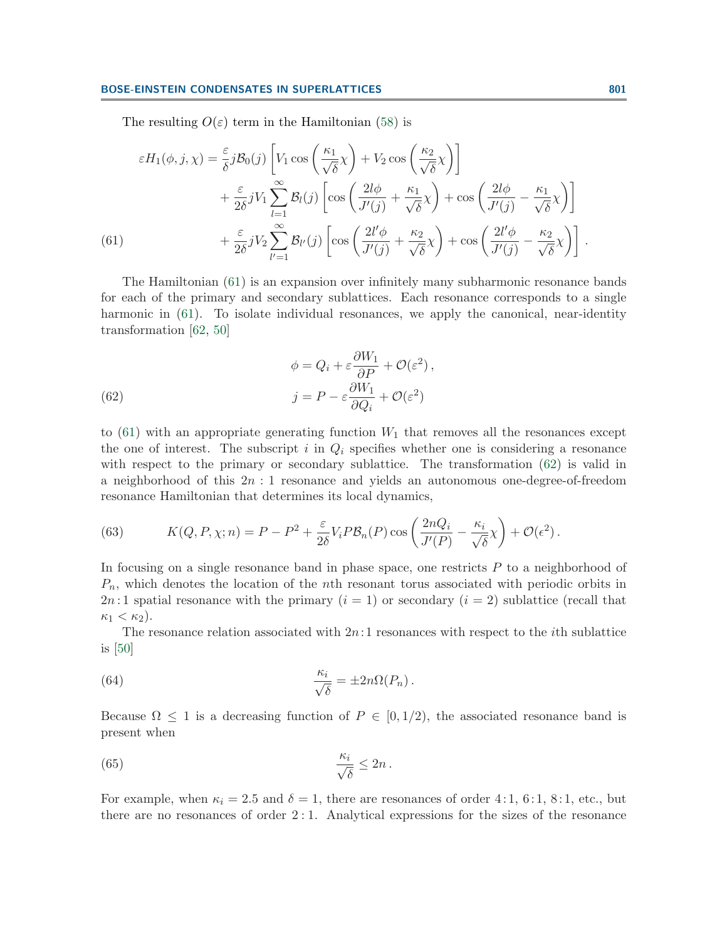## <span id="page-18-0"></span>**BOSE-EINSTEIN CONDENSATES IN SUPERLATTICES 1001 1001 1001 1001 801**

The resulting  $O(\varepsilon)$  term in the Hamiltonian [\(58\)](#page-17-0) is

$$
\varepsilon H_1(\phi, j, \chi) = \frac{\varepsilon}{\delta} j \mathcal{B}_0(j) \left[ V_1 \cos \left( \frac{\kappa_1}{\sqrt{\delta}} \chi \right) + V_2 \cos \left( \frac{\kappa_2}{\sqrt{\delta}} \chi \right) \right] + \frac{\varepsilon}{2\delta} j V_1 \sum_{l=1}^{\infty} \mathcal{B}_l(j) \left[ \cos \left( \frac{2l\phi}{J'(j)} + \frac{\kappa_1}{\sqrt{\delta}} \chi \right) + \cos \left( \frac{2l\phi}{J'(j)} - \frac{\kappa_1}{\sqrt{\delta}} \chi \right) \right] + \frac{\varepsilon}{2\delta} j V_2 \sum_{l'=1}^{\infty} \mathcal{B}_{l'}(j) \left[ \cos \left( \frac{2l'\phi}{J'(j)} + \frac{\kappa_2}{\sqrt{\delta}} \chi \right) + \cos \left( \frac{2l'\phi}{J'(j)} - \frac{\kappa_2}{\sqrt{\delta}} \chi \right) \right] .
$$

The Hamiltonian (61) is an expansion over infinitely many subharmonic resonance bands for each of the primary and secondary sublattices. Each resonance corresponds to a single harmonic in (61). To isolate individual resonances, we apply the canonical, near-identity transformation [\[62,](#page-24-0) [50\]](#page-23-0)

(62) 
$$
\phi = Q_i + \varepsilon \frac{\partial W_1}{\partial P} + \mathcal{O}(\varepsilon^2),
$$

$$
j = P - \varepsilon \frac{\partial W_1}{\partial Q_i} + \mathcal{O}(\varepsilon^2)
$$

to  $(61)$  with an appropriate generating function  $W_1$  that removes all the resonances except the one of interest. The subscript i in  $Q_i$  specifies whether one is considering a resonance with respect to the primary or secondary sublattice. The transformation (62) is valid in a neighborhood of this  $2n:1$  resonance and yields an autonomous one-degree-of-freedom resonance Hamiltonian that determines its local dynamics,

(63) 
$$
K(Q, P, \chi; n) = P - P^2 + \frac{\varepsilon}{2\delta} V_i P \mathcal{B}_n(P) \cos\left(\frac{2nQ_i}{J'(P)} - \frac{\kappa_i}{\sqrt{\delta}}\chi\right) + \mathcal{O}(\epsilon^2).
$$

In focusing on a single resonance band in phase space, one restricts  $P$  to a neighborhood of  $P_n$ , which denotes the location of the nth resonant torus associated with periodic orbits in  $2n:1$  spatial resonance with the primary  $(i = 1)$  or secondary  $(i = 2)$  sublattice (recall that  $\kappa_1 < \kappa_2$ ).

The resonance relation associated with  $2n:1$  resonances with respect to the *i*th sublattice is [\[50\]](#page-23-0)

(64) 
$$
\frac{\kappa_i}{\sqrt{\delta}} = \pm 2n\Omega(P_n).
$$

Because  $\Omega \leq 1$  is a decreasing function of  $P \in [0, 1/2)$ , the associated resonance band is present when

(65) 
$$
\frac{\kappa_i}{\sqrt{\delta}} \leq 2n.
$$

For example, when  $\kappa_i = 2.5$  and  $\delta = 1$ , there are resonances of order 4:1, 6:1, 8:1, etc., but there are no resonances of order 2 : 1. Analytical expressions for the sizes of the resonance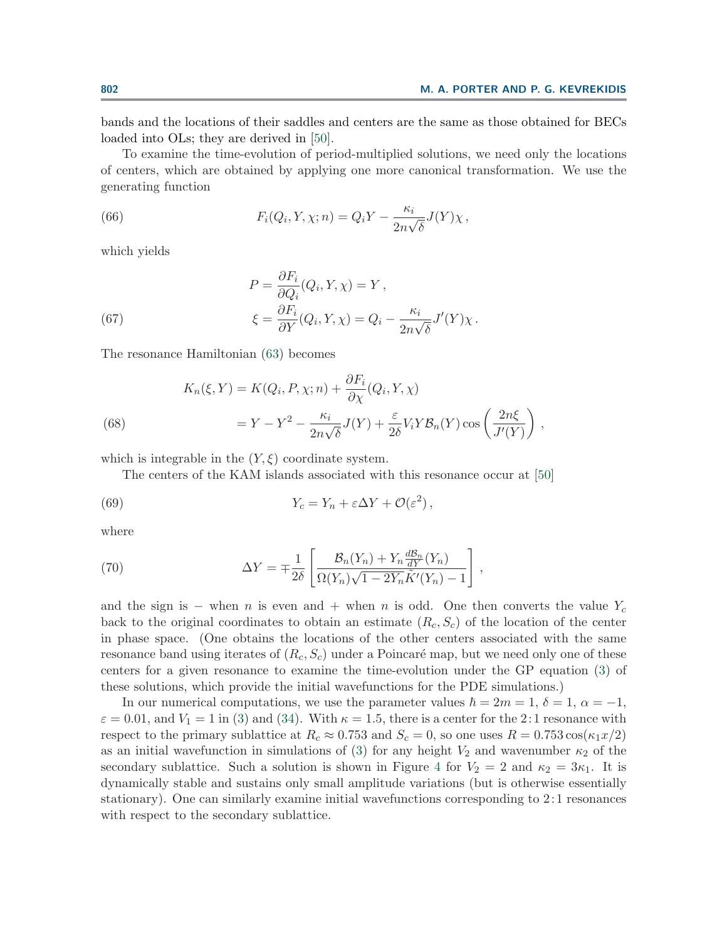bands and the locations of their saddles and centers are the same as those obtained for BECs loaded into OLs; they are derived in [\[50\]](#page-23-0).

To examine the time-evolution of period-multiplied solutions, we need only the locations of centers, which are obtained by applying one more canonical transformation. We use the generating function

(66) 
$$
F_i(Q_i, Y, \chi; n) = Q_i Y - \frac{\kappa_i}{2n\sqrt{\delta}} J(Y) \chi,
$$

which yields

(67) 
$$
P = \frac{\partial F_i}{\partial Q_i}(Q_i, Y, \chi) = Y,
$$

$$
\xi = \frac{\partial F_i}{\partial Y}(Q_i, Y, \chi) = Q_i - \frac{\kappa_i}{2n\sqrt{\delta}}J'(Y)\chi.
$$

The resonance Hamiltonian [\(63\)](#page-18-0) becomes

(68) 
$$
K_n(\xi, Y) = K(Q_i, P, \chi; n) + \frac{\partial F_i}{\partial \chi}(Q_i, Y, \chi)
$$

$$
= Y - Y^2 - \frac{\kappa_i}{2n\sqrt{\delta}} J(Y) + \frac{\varepsilon}{2\delta} V_i Y \mathcal{B}_n(Y) \cos\left(\frac{2n\xi}{J'(Y)}\right),
$$

which is integrable in the  $(Y, \xi)$  coordinate system.

The centers of the KAM islands associated with this resonance occur at [\[50\]](#page-23-0)

(69) 
$$
Y_c = Y_n + \varepsilon \Delta Y + \mathcal{O}(\varepsilon^2),
$$

where

(70) 
$$
\Delta Y = \mp \frac{1}{2\delta} \left[ \frac{\mathcal{B}_n(Y_n) + Y_n \frac{d\mathcal{B}_n}{dY}(Y_n)}{\Omega(Y_n)\sqrt{1 - 2Y_n}\tilde{K}'(Y_n) - 1} \right],
$$

and the sign is – when n is even and + when n is odd. One then converts the value  $Y_c$ back to the original coordinates to obtain an estimate  $(R_c, S_c)$  of the location of the center in phase space. (One obtains the locations of the other centers associated with the same resonance band using iterates of  $(R_c, S_c)$  under a Poincaré map, but we need only one of these centers for a given resonance to examine the time-evolution under the GP equation [\(3\)](#page-2-0) of these solutions, which provide the initial wavefunctions for the PDE simulations.)

In our numerical computations, we use the parameter values  $\hbar = 2m = 1, \delta = 1, \alpha = -1$ ,  $\varepsilon = 0.01$ , and  $V_1 = 1$  in [\(3\)](#page-2-0) and [\(34\)](#page-14-0). With  $\kappa = 1.5$ , there is a center for the 2:1 resonance with respect to the primary sublattice at  $R_c \approx 0.753$  and  $S_c = 0$ , so one uses  $R = 0.753 \cos(\kappa_1 x/2)$ as an initial wavefunction in simulations of [\(3\)](#page-2-0) for any height  $V_2$  and wavenumber  $\kappa_2$  of the secondary sublattice. Such a solution is shown in Figure [4](#page-20-0) for  $V_2 = 2$  and  $\kappa_2 = 3\kappa_1$ . It is dynamically stable and sustains only small amplitude variations (but is otherwise essentially stationary). One can similarly examine initial wavefunctions corresponding to 2:1 resonances with respect to the secondary sublattice.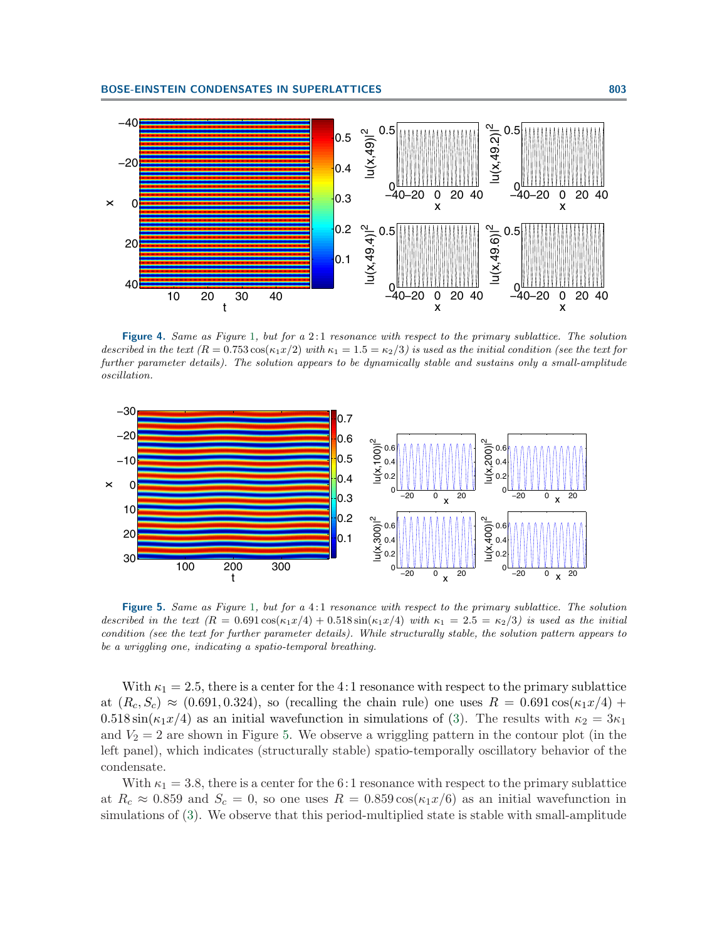<span id="page-20-0"></span>

**Figure 4.** Same as Figure [1](#page-10-0), but for a 2:1 resonance with respect to the primary sublattice. The solution described in the text  $(R = 0.753 \cos(\kappa_1 x/2)$  with  $\kappa_1 = 1.5 = \kappa_2/3$ ) is used as the initial condition (see the text for further parameter details). The solution appears to be dynamically stable and sustains only a small-amplitude oscillation.



**Figure 5.** Same as Figure [1](#page-10-0), but for a 4:1 resonance with respect to the primary sublattice. The solution described in the text  $(R = 0.691 \cos(\kappa_1 x/4) + 0.518 \sin(\kappa_1 x/4)$  with  $\kappa_1 = 2.5 = \kappa_2/3$  is used as the initial condition (see the text for further parameter details). While structurally stable, the solution pattern appears to be a wriggling one, indicating a spatio-temporal breathing.

With  $\kappa_1 = 2.5$ , there is a center for the 4:1 resonance with respect to the primary sublattice at  $(R_c, S_c) \approx (0.691, 0.324)$ , so (recalling the chain rule) one uses  $R = 0.691 \cos(\kappa_1 x/4)$  +  $0.518 \sin(\kappa_1 x/4)$  as an initial wavefunction in simulations of [\(3\)](#page-2-0). The results with  $\kappa_2 = 3\kappa_1$ and  $V_2 = 2$  are shown in Figure 5. We observe a wriggling pattern in the contour plot (in the left panel), which indicates (structurally stable) spatio-temporally oscillatory behavior of the condensate.

With  $\kappa_1 = 3.8$ , there is a center for the 6:1 resonance with respect to the primary sublattice at  $R_c \approx 0.859$  and  $S_c = 0$ , so one uses  $R = 0.859 \cos(\kappa_1 x/6)$  as an initial wavefunction in simulations of [\(3\)](#page-2-0). We observe that this period-multiplied state is stable with small-amplitude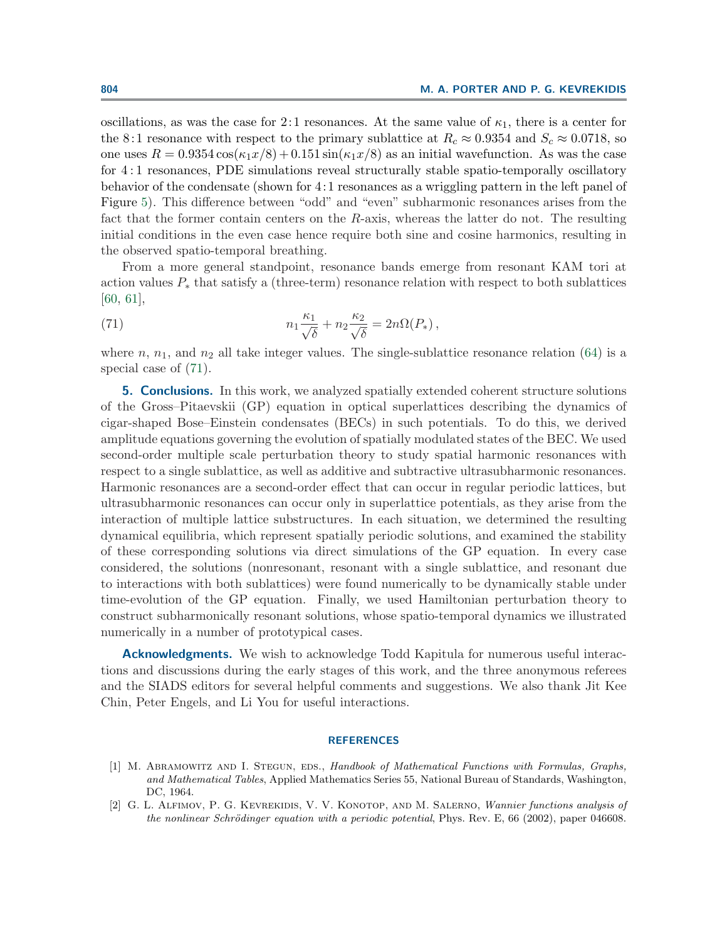<span id="page-21-0"></span>oscillations, as was the case for 2:1 resonances. At the same value of  $\kappa_1$ , there is a center for the 8:1 resonance with respect to the primary sublattice at  $R_c \approx 0.9354$  and  $S_c \approx 0.0718$ , so one uses  $R = 0.9354 \cos(\kappa_1 x/8) + 0.151 \sin(\kappa_1 x/8)$  as an initial wavefunction. As was the case for 4 : 1 resonances, PDE simulations reveal structurally stable spatio-temporally oscillatory behavior of the condensate (shown for 4:1 resonances as a wriggling pattern in the left panel of Figure [5\)](#page-20-0). This difference between "odd" and "even" subharmonic resonances arises from the fact that the former contain centers on the R-axis, whereas the latter do not. The resulting initial conditions in the even case hence require both sine and cosine harmonics, resulting in the observed spatio-temporal breathing.

From a more general standpoint, resonance bands emerge from resonant KAM tori at action values  $P_*$  that satisfy a (three-term) resonance relation with respect to both sublattices [\[60,](#page-24-0) [61\]](#page-24-0),

(71) 
$$
n_1 \frac{\kappa_1}{\sqrt{\delta}} + n_2 \frac{\kappa_2}{\sqrt{\delta}} = 2n\Omega(P_*)
$$

where  $n, n_1$ , and  $n_2$  all take integer values. The single-sublattice resonance relation [\(64\)](#page-18-0) is a special case of (71).

**5. Conclusions.** In this work, we analyzed spatially extended coherent structure solutions of the Gross–Pitaevskii (GP) equation in optical superlattices describing the dynamics of cigar-shaped Bose–Einstein condensates (BECs) in such potentials. To do this, we derived amplitude equations governing the evolution of spatially modulated states of the BEC. We used second-order multiple scale perturbation theory to study spatial harmonic resonances with respect to a single sublattice, as well as additive and subtractive ultrasubharmonic resonances. Harmonic resonances are a second-order effect that can occur in regular periodic lattices, but ultrasubharmonic resonances can occur only in superlattice potentials, as they arise from the interaction of multiple lattice substructures. In each situation, we determined the resulting dynamical equilibria, which represent spatially periodic solutions, and examined the stability of these corresponding solutions via direct simulations of the GP equation. In every case considered, the solutions (nonresonant, resonant with a single sublattice, and resonant due to interactions with both sublattices) were found numerically to be dynamically stable under time-evolution of the GP equation. Finally, we used Hamiltonian perturbation theory to construct subharmonically resonant solutions, whose spatio-temporal dynamics we illustrated numerically in a number of prototypical cases.

**Acknowledgments.** We wish to acknowledge Todd Kapitula for numerous useful interactions and discussions during the early stages of this work, and the three anonymous referees and the SIADS editors for several helpful comments and suggestions. We also thank Jit Kee Chin, Peter Engels, and Li You for useful interactions.

### **REFERENCES**

- [1] M. ABRAMOWITZ AND I. STEGUN, EDS., Handbook of Mathematical Functions with Formulas, Graphs, and Mathematical Tables, Applied Mathematics Series 55, National Bureau of Standards, Washington, DC, 1964.
- [2] G. L. Alfimov, P. G. Kevrekidis, V. V. Konotop, and M. Salerno, Wannier functions analysis of the nonlinear Schrödinger equation with a periodic potential, Phys. Rev. E,  $66$  (2002), paper 046608.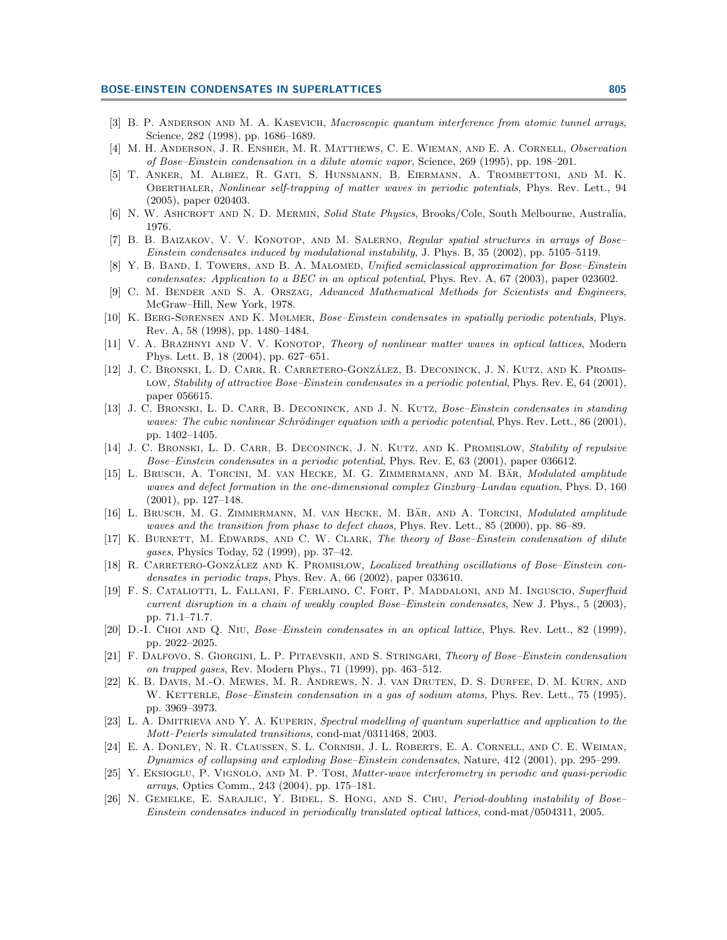- <span id="page-22-0"></span>[3] B. P. ANDERSON AND M. A. KASEVICH, Macroscopic quantum interference from atomic tunnel arrays, Science, 282 (1998), pp. 1686–1689.
- [4] M. H. Anderson, J. R. Ensher, M. R. Matthews, C. E. Wieman, and E. A. Cornell, Observation of Bose–Einstein condensation in a dilute atomic vapor, Science, 269 (1995), pp. 198–201.
- [5] T. Anker, M. Albiez, R. Gati, S. Hunsmann, B. Eiermann, A. Trombettoni, and M. K. Oberthaler, Nonlinear self-trapping of matter waves in periodic potentials, Phys. Rev. Lett., 94 (2005), paper 020403.
- [6] N. W. ASHCROFT AND N. D. MERMIN, Solid State Physics, Brooks/Cole, South Melbourne, Australia, 1976.
- [7] B. B. Baizakov, V. V. Konotop, and M. Salerno, Regular spatial structures in arrays of Bose– Einstein condensates induced by modulational instability, J. Phys. B, 35 (2002), pp. 5105–5119.
- [8] Y. B. BAND, I. TOWERS, AND B. A. MALOMED, Unified semiclassical approximation for Bose–Einstein condensates: Application to a BEC in an optical potential, Phys. Rev. A, 67 (2003), paper 023602.
- [9] C. M. BENDER AND S. A. ORSZAG, Advanced Mathematical Methods for Scientists and Engineers, McGraw–Hill, New York, 1978.
- [10] K. BERG-SØRENSEN AND K. MØLMER, Bose–Einstein condensates in spatially periodic potentials, Phys. Rev. A, 58 (1998), pp. 1480–1484.
- [11] V. A. BRAZHNYI AND V. V. KONOTOP, Theory of nonlinear matter waves in optical lattices, Modern Phys. Lett. B, 18 (2004), pp. 627–651.
- [12] J. C. Bronski, L. D. Carr, R. Carretero-Gonzalez, B. Deconinck, J. N. Kutz, and K. Promis- ´ LOW, Stability of attractive Bose–Einstein condensates in a periodic potential, Phys. Rev. E, 64 (2001), paper 056615.
- [13] J. C. BRONSKI, L. D. CARR, B. DECONINCK, AND J. N. KUTZ, Bose–Einstein condensates in standing waves: The cubic nonlinear Schrödinger equation with a periodic potential, Phys. Rev. Lett., 86 (2001), pp. 1402–1405.
- [14] J. C. BRONSKI, L. D. CARR, B. DECONINCK, J. N. KUTZ, AND K. PROMISLOW, Stability of repulsive Bose–Einstein condensates in a periodic potential, Phys. Rev. E, 63 (2001), paper 036612.
- [15] L. BRUSCH, A. TORCINI, M. VAN HECKE, M. G. ZIMMERMANN, AND M. BÄR, Modulated amplitude waves and defect formation in the one-dimensional complex Ginzburg–Landau equation, Phys. D, 160 (2001), pp. 127–148.
- [16] L. BRUSCH, M. G. ZIMMERMANN, M. VAN HECKE, M. BÄR, AND A. TORCINI, Modulated amplitude waves and the transition from phase to defect chaos, Phys. Rev. Lett., 85 (2000), pp. 86–89.
- [17] K. BURNETT, M. EDWARDS, AND C. W. CLARK, The theory of Bose–Einstein condensation of dilute gases, Physics Today, 52 (1999), pp. 37–42.
- [18] R. CARRETERO-GONZÁLEZ AND K. PROMISLOW, *Localized breathing oscillations of Bose–Einstein con*densates in periodic traps, Phys. Rev. A, 66 (2002), paper 033610.
- [19] F. S. Cataliotti, L. Fallani, F. Ferlaino, C. Fort, P. Maddaloni, and M. Inguscio, Superfluid current disruption in a chain of weakly coupled Bose–Einstein condensates, New J. Phys., 5 (2003), pp. 71.1–71.7.
- [20] D.-I. Choi AND Q. Niu, Bose–Einstein condensates in an optical lattice, Phys. Rev. Lett., 82 (1999), pp. 2022–2025.
- [21] F. DALFOVO, S. GIORGINI, L. P. PITAEVSKII, AND S. STRINGARI, Theory of Bose–Einstein condensation on trapped gases, Rev. Modern Phys., 71 (1999), pp. 463–512.
- [22] K. B. Davis, M.-O. Mewes, M. R. Andrews, N. J. van Druten, D. S. Durfee, D. M. Kurn, and W. KETTERLE, *Bose–Einstein condensation in a gas of sodium atoms*, Phys. Rev. Lett., 75 (1995), pp. 3969–3973.
- [23] L. A. DMITRIEVA AND Y. A. KUPERIN, Spectral modelling of quantum superlattice and application to the Mott–Peierls simulated transitions, cond-mat/0311468, 2003.
- [24] E. A. Donley, N. R. Claussen, S. L. Cornish, J. L. Roberts, E. A. Cornell, and C. E. Weiman, Dynamics of collapsing and exploding Bose–Einstein condensates, Nature, 412 (2001), pp. 295–299.
- [25] Y. EKSIOGLU, P. VIGNOLO, AND M. P. TOSI, Matter-wave interferometry in periodic and quasi-periodic arrays, Optics Comm., 243 (2004), pp. 175–181.
- [26] N. GEMELKE, E. SARAJLIC, Y. BIDEL, S. HONG, AND S. CHU, *Period-doubling instability of Bose* Einstein condensates induced in periodically translated optical lattices, cond-mat/0504311, 2005.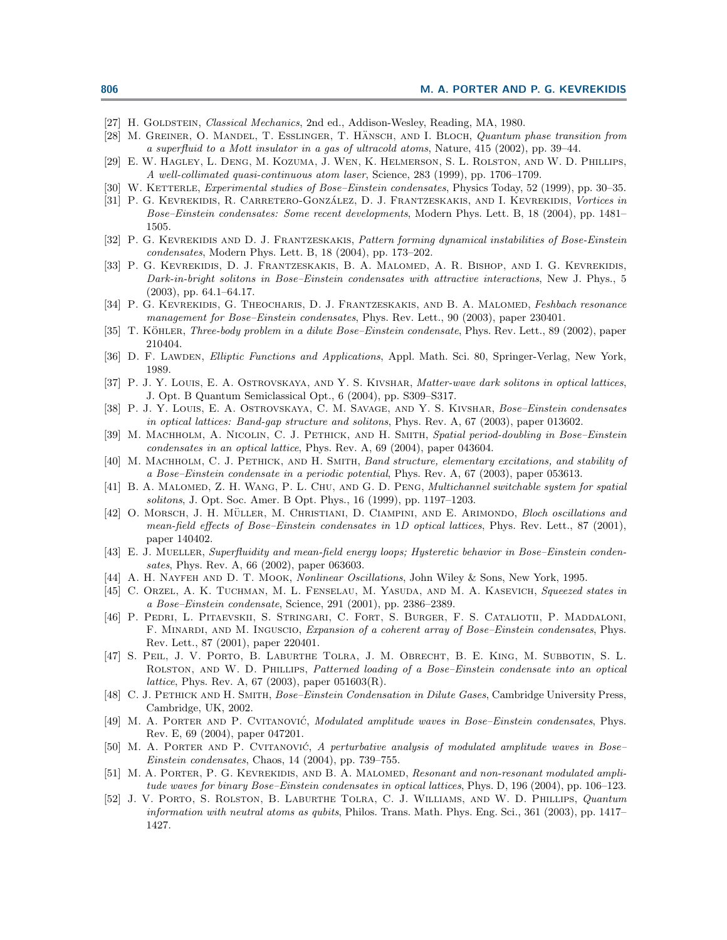- <span id="page-23-0"></span>[27] H. GOLDSTEIN, Classical Mechanics, 2nd ed., Addison-Wesley, Reading, MA, 1980.
- [28] M. GREINER, O. MANDEL, T. ESSLINGER, T. HÄNSCH, AND I. BLOCH, Quantum phase transition from a superfluid to a Mott insulator in a gas of ultracold atoms, Nature, 415 (2002), pp. 39–44.
- [29] E. W. Hagley, L. Deng, M. Kozuma, J. Wen, K. Helmerson, S. L. Rolston, and W. D. Phillips, A well-collimated quasi-continuous atom laser, Science, 283 (1999), pp. 1706–1709.
- [30] W. KETTERLE, *Experimental studies of Bose–Einstein condensates*, Physics Today, 52 (1999), pp. 30–35.
- [31] P. G. KEVREKIDIS, R. CARRETERO-GONZÁLEZ, D. J. FRANTZESKAKIS, AND I. KEVREKIDIS, Vortices in Bose–Einstein condensates: Some recent developments, Modern Phys. Lett. B, 18 (2004), pp. 1481– 1505.
- [32] P. G. KEVREKIDIS AND D. J. FRANTZESKAKIS, Pattern forming dynamical instabilities of Bose-Einstein condensates, Modern Phys. Lett. B, 18 (2004), pp. 173–202.
- [33] P. G. Kevrekidis, D. J. Frantzeskakis, B. A. Malomed, A. R. Bishop, and I. G. Kevrekidis, Dark-in-bright solitons in Bose–Einstein condensates with attractive interactions, New J. Phys., 5 (2003), pp. 64.1–64.17.
- [34] P. G. KEVREKIDIS, G. THEOCHARIS, D. J. FRANTZESKAKIS, AND B. A. MALOMED, Feshbach resonance management for Bose–Einstein condensates, Phys. Rev. Lett., 90 (2003), paper 230401.
- [35] T. KöHLER, Three-body problem in a dilute Bose–Einstein condensate, Phys. Rev. Lett., 89 (2002), paper 210404.
- [36] D. F. Lawden, *Elliptic Functions and Applications*, Appl. Math. Sci. 80, Springer-Verlag, New York, 1989.
- [37] P. J. Y. Louis, E. A. OSTROVSKAYA, AND Y. S. KIVSHAR, Matter-wave dark solitons in optical lattices, J. Opt. B Quantum Semiclassical Opt., 6 (2004), pp. S309–S317.
- [38] P. J. Y. Louis, E. A. Ostrovskaya, C. M. Savage, and Y. S. Kivshar, Bose–Einstein condensates in optical lattices: Band-gap structure and solitons, Phys. Rev. A, 67 (2003), paper 013602.
- [39] M. MACHHOLM, A. NICOLIN, C. J. PETHICK, AND H. SMITH, Spatial period-doubling in Bose–Einstein condensates in an optical lattice, Phys. Rev. A, 69 (2004), paper 043604.
- [40] M. MACHHOLM, C. J. PETHICK, AND H. SMITH, Band structure, elementary excitations, and stability of a Bose–Einstein condensate in a periodic potential, Phys. Rev. A, 67 (2003), paper 053613.
- [41] B. A. MALOMED, Z. H. WANG, P. L. CHU, AND G. D. PENG, *Multichannel switchable system for spatial* solitons, J. Opt. Soc. Amer. B Opt. Phys., 16 (1999), pp. 1197–1203.
- [42] O. MORSCH, J. H. MÜLLER, M. CHRISTIANI, D. CIAMPINI, AND E. ARIMONDO, Bloch oscillations and mean-field effects of Bose–Einstein condensates in 1D optical lattices, Phys. Rev. Lett., 87 (2001), paper 140402.
- [43] E. J. MUELLER, Superfluidity and mean-field energy loops; Hysteretic behavior in Bose–Einstein condensates, Phys. Rev. A, 66 (2002), paper 063603.
- [44] A. H. NAYFEH AND D. T. MOOK, *Nonlinear Oscillations*, John Wiley & Sons, New York, 1995.
- [45] C. Orzel, A. K. Tuchman, M. L. Fenselau, M. Yasuda, and M. A. Kasevich, Squeezed states in a Bose–Einstein condensate, Science, 291 (2001), pp. 2386–2389.
- [46] P. Pedri, L. Pitaevskii, S. Stringari, C. Fort, S. Burger, F. S. Cataliotii, P. Maddaloni, F. MINARDI, AND M. INGUSCIO, Expansion of a coherent array of Bose–Einstein condensates, Phys. Rev. Lett., 87 (2001), paper 220401.
- [47] S. Peil, J. V. Porto, B. Laburthe Tolra, J. M. Obrecht, B. E. King, M. Subbotin, S. L. ROLSTON, AND W. D. PHILLIPS, Patterned loading of a Bose–Einstein condensate into an optical *lattice*, Phys. Rev. A,  $67$  (2003), paper 051603(R).
- [48] C. J. PETHICK AND H. SMITH, Bose–Einstein Condensation in Dilute Gases, Cambridge University Press, Cambridge, UK, 2002.
- [49] M. A. PORTER AND P. CVITANOVIĆ, Modulated amplitude waves in Bose–Einstein condensates, Phys. Rev. E, 69 (2004), paper 047201.
- [50] M. A. PORTER AND P. CVITANOVIĆ, A perturbative analysis of modulated amplitude waves in Bose– Einstein condensates, Chaos, 14 (2004), pp. 739–755.
- [51] M. A. PORTER, P. G. KEVREKIDIS, AND B. A. MALOMED, Resonant and non-resonant modulated amplitude waves for binary Bose–Einstein condensates in optical lattices, Phys. D, 196 (2004), pp. 106–123.
- [52] J. V. Porto, S. Rolston, B. Laburthe Tolra, C. J. Williams, and W. D. Phillips, Quantum information with neutral atoms as qubits, Philos. Trans. Math. Phys. Eng. Sci., 361 (2003), pp. 1417– 1427.